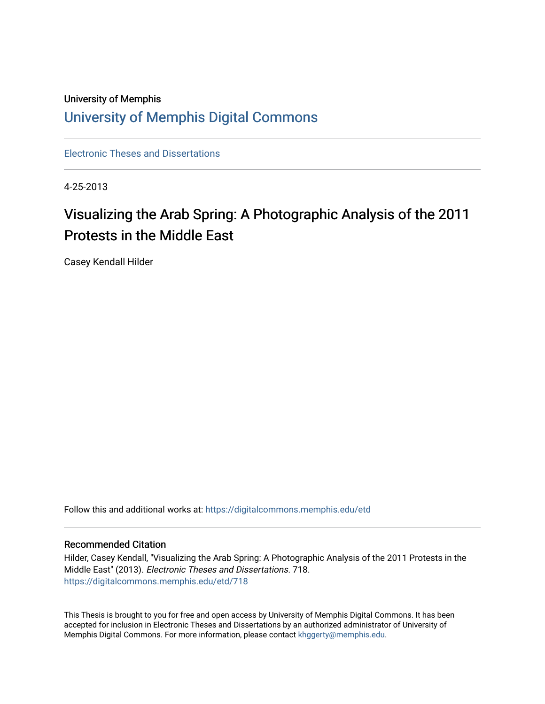# University of Memphis [University of Memphis Digital Commons](https://digitalcommons.memphis.edu/)

[Electronic Theses and Dissertations](https://digitalcommons.memphis.edu/etd)

4-25-2013

# Visualizing the Arab Spring: A Photographic Analysis of the 2011 Protests in the Middle East

Casey Kendall Hilder

Follow this and additional works at: [https://digitalcommons.memphis.edu/etd](https://digitalcommons.memphis.edu/etd?utm_source=digitalcommons.memphis.edu%2Fetd%2F718&utm_medium=PDF&utm_campaign=PDFCoverPages) 

## Recommended Citation

Hilder, Casey Kendall, "Visualizing the Arab Spring: A Photographic Analysis of the 2011 Protests in the Middle East" (2013). Electronic Theses and Dissertations. 718. [https://digitalcommons.memphis.edu/etd/718](https://digitalcommons.memphis.edu/etd/718?utm_source=digitalcommons.memphis.edu%2Fetd%2F718&utm_medium=PDF&utm_campaign=PDFCoverPages) 

This Thesis is brought to you for free and open access by University of Memphis Digital Commons. It has been accepted for inclusion in Electronic Theses and Dissertations by an authorized administrator of University of Memphis Digital Commons. For more information, please contact [khggerty@memphis.edu.](mailto:khggerty@memphis.edu)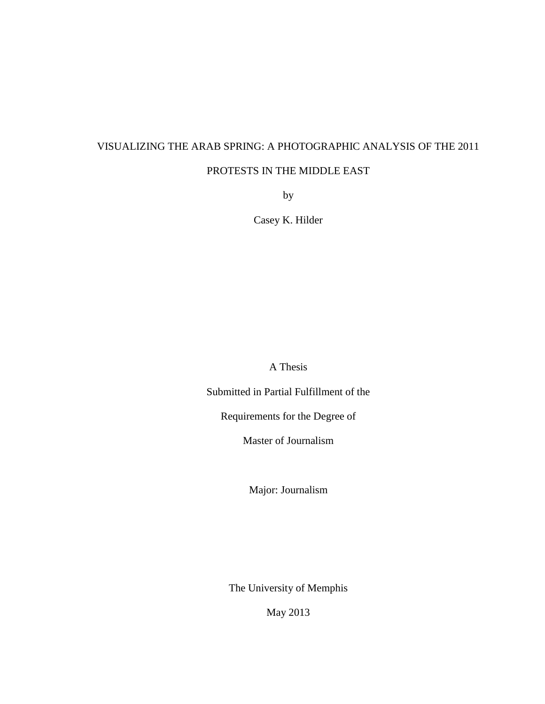# VISUALIZING THE ARAB SPRING: A PHOTOGRAPHIC ANALYSIS OF THE 2011

# PROTESTS IN THE MIDDLE EAST

by

Casey K. Hilder

A Thesis

Submitted in Partial Fulfillment of the

Requirements for the Degree of

Master of Journalism

Major: Journalism

The University of Memphis

May 2013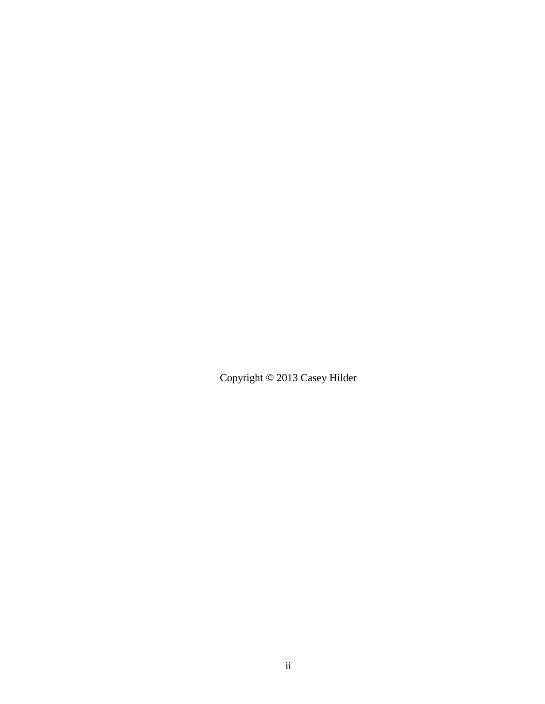Copyright © 2013 Casey Hilder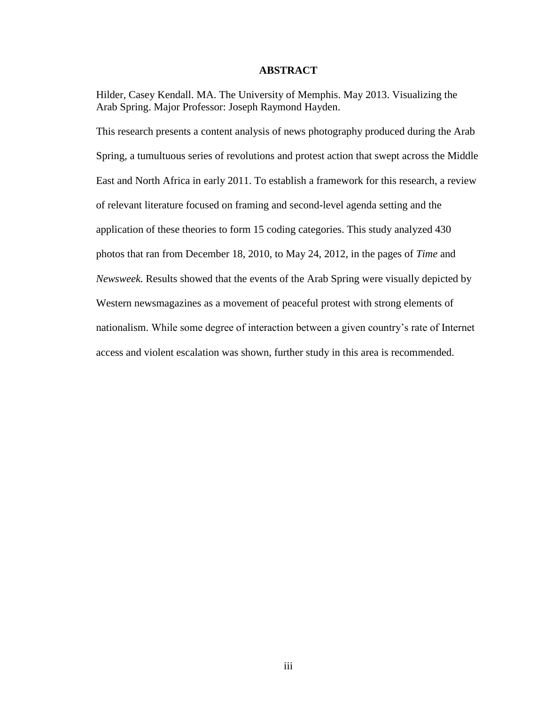### **ABSTRACT**

Hilder, Casey Kendall. MA. The University of Memphis. May 2013. Visualizing the Arab Spring. Major Professor: Joseph Raymond Hayden.

This research presents a content analysis of news photography produced during the Arab Spring, a tumultuous series of revolutions and protest action that swept across the Middle East and North Africa in early 2011. To establish a framework for this research, a review of relevant literature focused on framing and second-level agenda setting and the application of these theories to form 15 coding categories. This study analyzed 430 photos that ran from December 18, 2010, to May 24, 2012, in the pages of *Time* and *Newsweek.* Results showed that the events of the Arab Spring were visually depicted by Western newsmagazines as a movement of peaceful protest with strong elements of nationalism. While some degree of interaction between a given country's rate of Internet access and violent escalation was shown, further study in this area is recommended.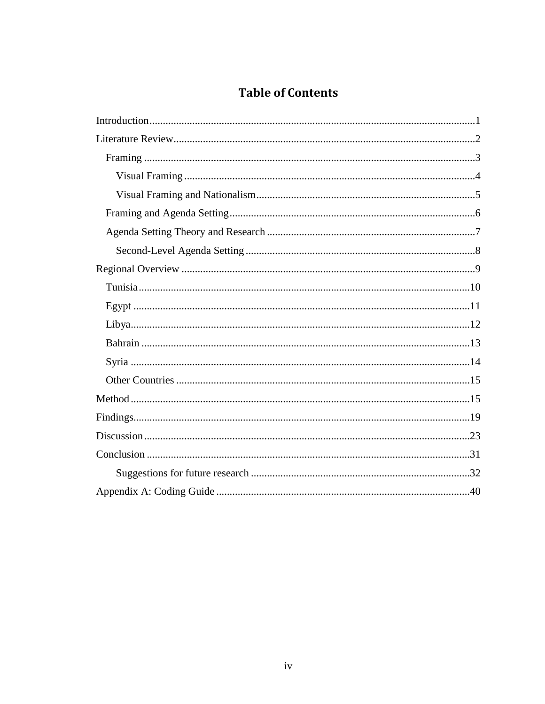# **Table of Contents**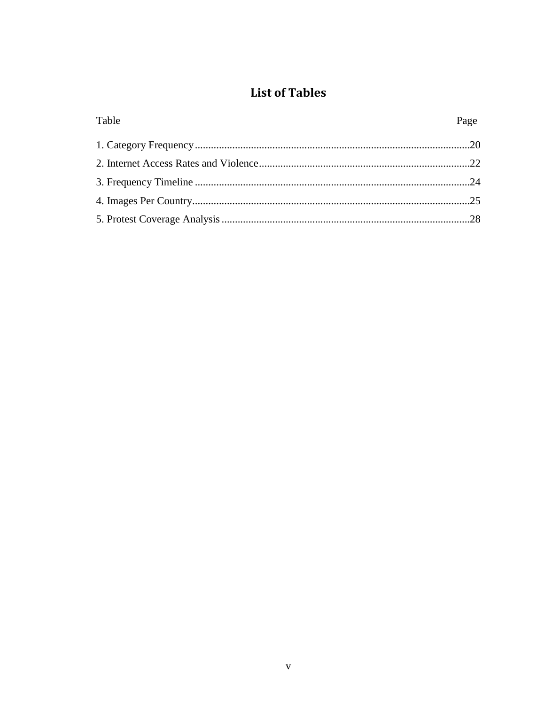# **List of Tables**

| Table | Page |
|-------|------|
|       |      |
|       |      |
|       |      |
|       |      |
|       |      |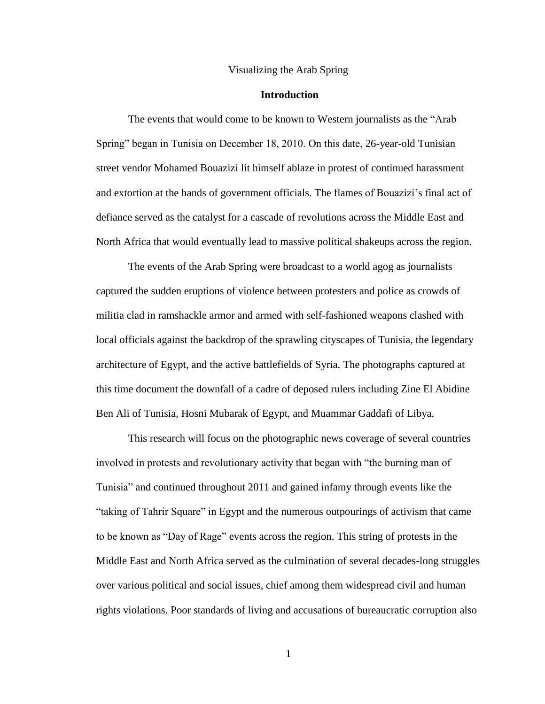#### Visualizing the Arab Spring

# **Introduction**

The events that would come to be known to Western journalists as the "Arab Spring" began in Tunisia on December 18, 2010. On this date, 26-year-old Tunisian street vendor Mohamed Bouazizi lit himself ablaze in protest of continued harassment and extortion at the hands of government officials. The flames of Bouazizi's final act of defiance served as the catalyst for a cascade of revolutions across the Middle East and North Africa that would eventually lead to massive political shakeups across the region.

The events of the Arab Spring were broadcast to a world agog as journalists captured the sudden eruptions of violence between protesters and police as crowds of militia clad in ramshackle armor and armed with self-fashioned weapons clashed with local officials against the backdrop of the sprawling cityscapes of Tunisia, the legendary architecture of Egypt, and the active battlefields of Syria. The photographs captured at this time document the downfall of a cadre of deposed rulers including Zine El Abidine Ben Ali of Tunisia, Hosni Mubarak of Egypt, and Muammar Gaddafi of Libya.

This research will focus on the photographic news coverage of several countries involved in protests and revolutionary activity that began with "the burning man of Tunisia" and continued throughout 2011 and gained infamy through events like the "taking of Tahrir Square" in Egypt and the numerous outpourings of activism that came to be known as "Day of Rage" events across the region. This string of protests in the Middle East and North Africa served as the culmination of several decades-long struggles over various political and social issues, chief among them widespread civil and human rights violations. Poor standards of living and accusations of bureaucratic corruption also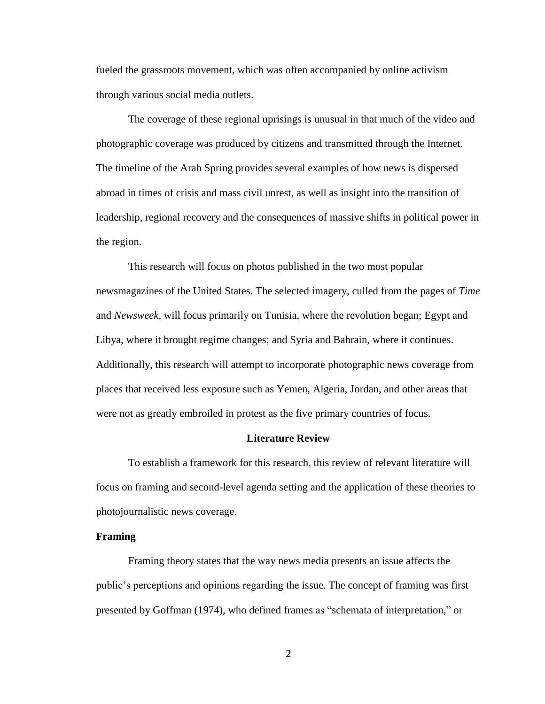fueled the grassroots movement, which was often accompanied by online activism through various social media outlets.

The coverage of these regional uprisings is unusual in that much of the video and photographic coverage was produced by citizens and transmitted through the Internet. The timeline of the Arab Spring provides several examples of how news is dispersed abroad in times of crisis and mass civil unrest, as well as insight into the transition of leadership, regional recovery and the consequences of massive shifts in political power in the region.

This research will focus on photos published in the two most popular newsmagazines of the United States. The selected imagery, culled from the pages of *Time* and *Newsweek*, will focus primarily on Tunisia, where the revolution began; Egypt and Libya, where it brought regime changes; and Syria and Bahrain, where it continues. Additionally, this research will attempt to incorporate photographic news coverage from places that received less exposure such as Yemen, Algeria, Jordan, and other areas that were not as greatly embroiled in protest as the five primary countries of focus.

## **Literature Review**

To establish a framework for this research, this review of relevant literature will focus on framing and second-level agenda setting and the application of these theories to photojournalistic news coverage.

#### **Framing**

Framing theory states that the way news media presents an issue affects the public's perceptions and opinions regarding the issue. The concept of framing was first presented by Goffman (1974), who defined frames as "schemata of interpretation," or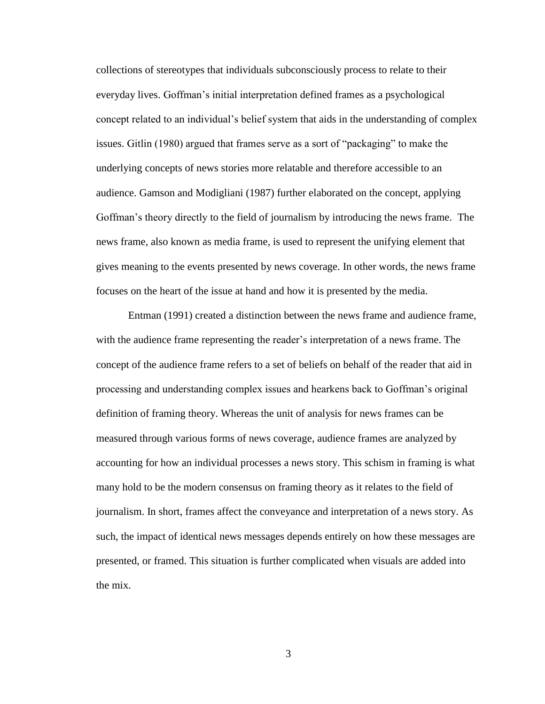collections of stereotypes that individuals subconsciously process to relate to their everyday lives. Goffman's initial interpretation defined frames as a psychological concept related to an individual's belief system that aids in the understanding of complex issues. Gitlin (1980) argued that frames serve as a sort of "packaging" to make the underlying concepts of news stories more relatable and therefore accessible to an audience. Gamson and Modigliani (1987) further elaborated on the concept, applying Goffman's theory directly to the field of journalism by introducing the news frame. The news frame, also known as media frame, is used to represent the unifying element that gives meaning to the events presented by news coverage. In other words, the news frame focuses on the heart of the issue at hand and how it is presented by the media.

Entman (1991) created a distinction between the news frame and audience frame, with the audience frame representing the reader's interpretation of a news frame. The concept of the audience frame refers to a set of beliefs on behalf of the reader that aid in processing and understanding complex issues and hearkens back to Goffman's original definition of framing theory. Whereas the unit of analysis for news frames can be measured through various forms of news coverage, audience frames are analyzed by accounting for how an individual processes a news story. This schism in framing is what many hold to be the modern consensus on framing theory as it relates to the field of journalism. In short, frames affect the conveyance and interpretation of a news story. As such, the impact of identical news messages depends entirely on how these messages are presented, or framed. This situation is further complicated when visuals are added into the mix.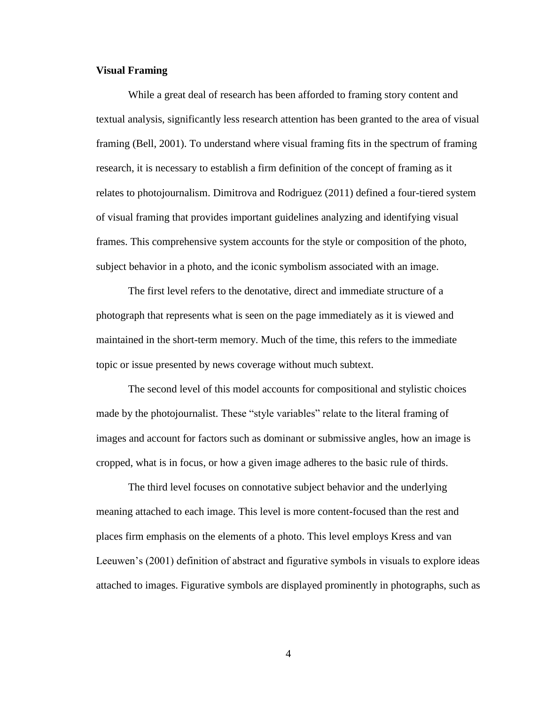## **Visual Framing**

While a great deal of research has been afforded to framing story content and textual analysis, significantly less research attention has been granted to the area of visual framing (Bell, 2001). To understand where visual framing fits in the spectrum of framing research, it is necessary to establish a firm definition of the concept of framing as it relates to photojournalism. Dimitrova and Rodriguez (2011) defined a four-tiered system of visual framing that provides important guidelines analyzing and identifying visual frames. This comprehensive system accounts for the style or composition of the photo, subject behavior in a photo, and the iconic symbolism associated with an image.

The first level refers to the denotative, direct and immediate structure of a photograph that represents what is seen on the page immediately as it is viewed and maintained in the short-term memory. Much of the time, this refers to the immediate topic or issue presented by news coverage without much subtext.

The second level of this model accounts for compositional and stylistic choices made by the photojournalist. These "style variables" relate to the literal framing of images and account for factors such as dominant or submissive angles, how an image is cropped, what is in focus, or how a given image adheres to the basic rule of thirds.

The third level focuses on connotative subject behavior and the underlying meaning attached to each image. This level is more content-focused than the rest and places firm emphasis on the elements of a photo. This level employs Kress and van Leeuwen's (2001) definition of abstract and figurative symbols in visuals to explore ideas attached to images. Figurative symbols are displayed prominently in photographs, such as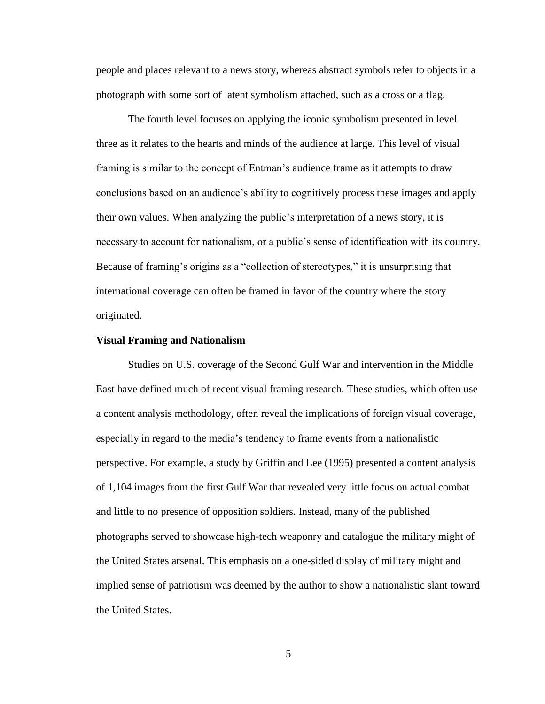people and places relevant to a news story, whereas abstract symbols refer to objects in a photograph with some sort of latent symbolism attached, such as a cross or a flag.

The fourth level focuses on applying the iconic symbolism presented in level three as it relates to the hearts and minds of the audience at large. This level of visual framing is similar to the concept of Entman's audience frame as it attempts to draw conclusions based on an audience's ability to cognitively process these images and apply their own values. When analyzing the public's interpretation of a news story, it is necessary to account for nationalism, or a public's sense of identification with its country. Because of framing's origins as a "collection of stereotypes," it is unsurprising that international coverage can often be framed in favor of the country where the story originated.

#### **Visual Framing and Nationalism**

Studies on U.S. coverage of the Second Gulf War and intervention in the Middle East have defined much of recent visual framing research. These studies, which often use a content analysis methodology, often reveal the implications of foreign visual coverage, especially in regard to the media's tendency to frame events from a nationalistic perspective. For example, a study by Griffin and Lee (1995) presented a content analysis of 1,104 images from the first Gulf War that revealed very little focus on actual combat and little to no presence of opposition soldiers. Instead, many of the published photographs served to showcase high-tech weaponry and catalogue the military might of the United States arsenal. This emphasis on a one-sided display of military might and implied sense of patriotism was deemed by the author to show a nationalistic slant toward the United States.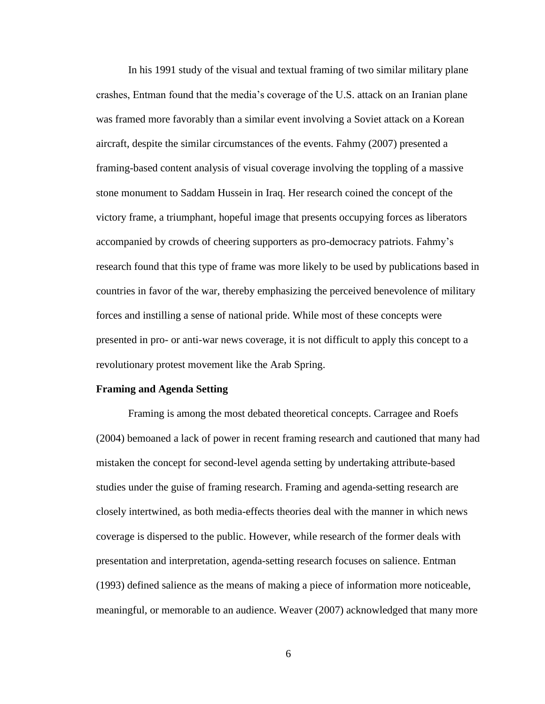In his 1991 study of the visual and textual framing of two similar military plane crashes, Entman found that the media's coverage of the U.S. attack on an Iranian plane was framed more favorably than a similar event involving a Soviet attack on a Korean aircraft, despite the similar circumstances of the events. Fahmy (2007) presented a framing-based content analysis of visual coverage involving the toppling of a massive stone monument to Saddam Hussein in Iraq. Her research coined the concept of the victory frame, a triumphant, hopeful image that presents occupying forces as liberators accompanied by crowds of cheering supporters as pro-democracy patriots. Fahmy's research found that this type of frame was more likely to be used by publications based in countries in favor of the war, thereby emphasizing the perceived benevolence of military forces and instilling a sense of national pride. While most of these concepts were presented in pro- or anti-war news coverage, it is not difficult to apply this concept to a revolutionary protest movement like the Arab Spring.

#### **Framing and Agenda Setting**

Framing is among the most debated theoretical concepts. Carragee and Roefs (2004) bemoaned a lack of power in recent framing research and cautioned that many had mistaken the concept for second-level agenda setting by undertaking attribute-based studies under the guise of framing research. Framing and agenda-setting research are closely intertwined, as both media-effects theories deal with the manner in which news coverage is dispersed to the public. However, while research of the former deals with presentation and interpretation, agenda-setting research focuses on salience. Entman (1993) defined salience as the means of making a piece of information more noticeable, meaningful, or memorable to an audience. Weaver (2007) acknowledged that many more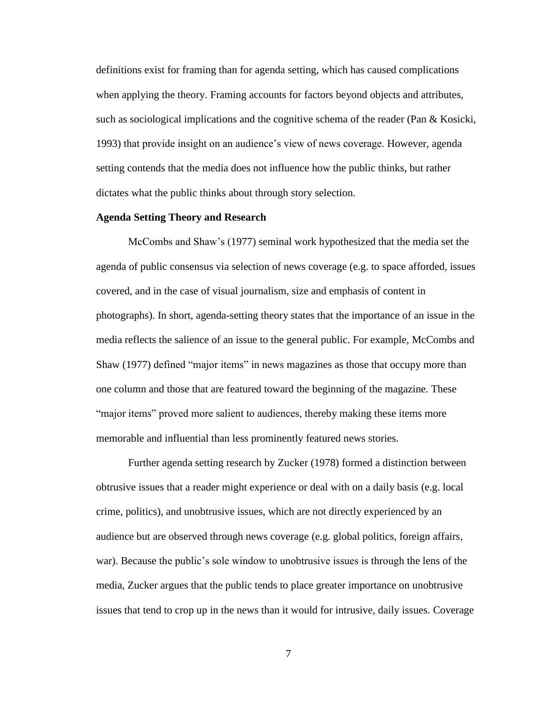definitions exist for framing than for agenda setting, which has caused complications when applying the theory. Framing accounts for factors beyond objects and attributes, such as sociological implications and the cognitive schema of the reader (Pan & Kosicki, 1993) that provide insight on an audience's view of news coverage. However, agenda setting contends that the media does not influence how the public thinks, but rather dictates what the public thinks about through story selection.

## **Agenda Setting Theory and Research**

McCombs and Shaw's (1977) seminal work hypothesized that the media set the agenda of public consensus via selection of news coverage (e.g. to space afforded, issues covered, and in the case of visual journalism, size and emphasis of content in photographs). In short, agenda-setting theory states that the importance of an issue in the media reflects the salience of an issue to the general public. For example, McCombs and Shaw (1977) defined "major items" in news magazines as those that occupy more than one column and those that are featured toward the beginning of the magazine. These "major items" proved more salient to audiences, thereby making these items more memorable and influential than less prominently featured news stories.

Further agenda setting research by Zucker (1978) formed a distinction between obtrusive issues that a reader might experience or deal with on a daily basis (e.g. local crime, politics), and unobtrusive issues, which are not directly experienced by an audience but are observed through news coverage (e.g. global politics, foreign affairs, war). Because the public's sole window to unobtrusive issues is through the lens of the media, Zucker argues that the public tends to place greater importance on unobtrusive issues that tend to crop up in the news than it would for intrusive, daily issues. Coverage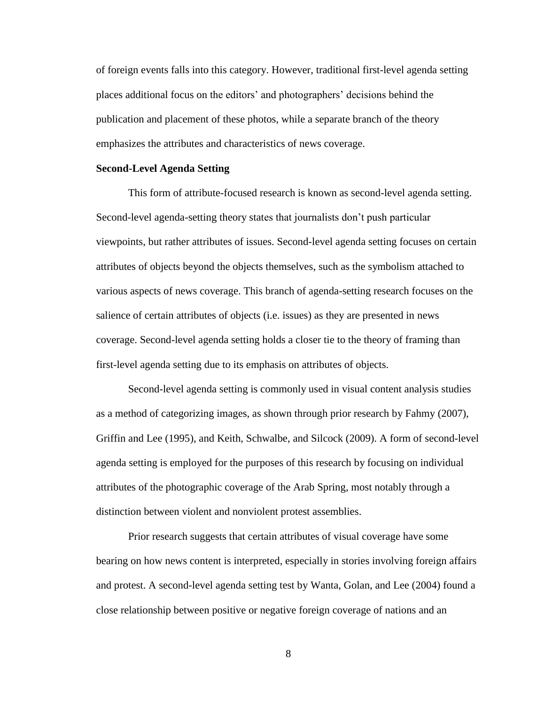of foreign events falls into this category. However, traditional first-level agenda setting places additional focus on the editors' and photographers' decisions behind the publication and placement of these photos, while a separate branch of the theory emphasizes the attributes and characteristics of news coverage.

#### **Second-Level Agenda Setting**

This form of attribute-focused research is known as second-level agenda setting. Second-level agenda-setting theory states that journalists don't push particular viewpoints, but rather attributes of issues. Second-level agenda setting focuses on certain attributes of objects beyond the objects themselves, such as the symbolism attached to various aspects of news coverage. This branch of agenda-setting research focuses on the salience of certain attributes of objects (i.e. issues) as they are presented in news coverage. Second-level agenda setting holds a closer tie to the theory of framing than first-level agenda setting due to its emphasis on attributes of objects.

Second-level agenda setting is commonly used in visual content analysis studies as a method of categorizing images, as shown through prior research by Fahmy (2007), Griffin and Lee (1995), and Keith, Schwalbe, and Silcock (2009). A form of second-level agenda setting is employed for the purposes of this research by focusing on individual attributes of the photographic coverage of the Arab Spring, most notably through a distinction between violent and nonviolent protest assemblies.

Prior research suggests that certain attributes of visual coverage have some bearing on how news content is interpreted, especially in stories involving foreign affairs and protest. A second-level agenda setting test by Wanta, Golan, and Lee (2004) found a close relationship between positive or negative foreign coverage of nations and an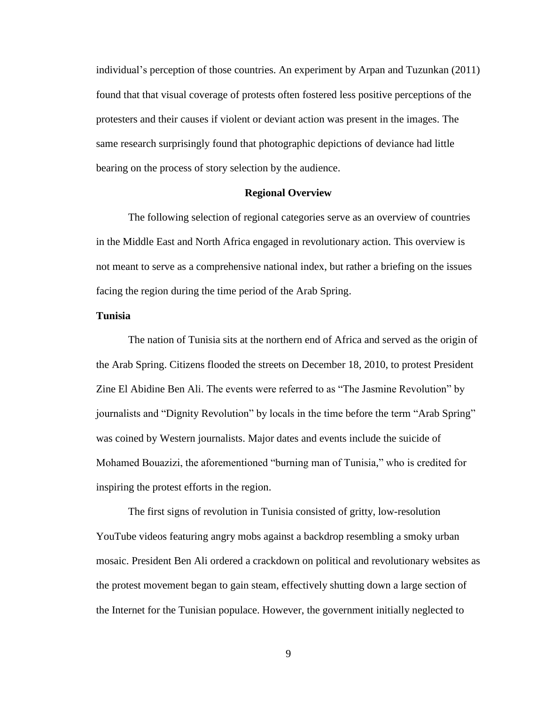individual's perception of those countries. An experiment by Arpan and Tuzunkan (2011) found that that visual coverage of protests often fostered less positive perceptions of the protesters and their causes if violent or deviant action was present in the images. The same research surprisingly found that photographic depictions of deviance had little bearing on the process of story selection by the audience.

## **Regional Overview**

The following selection of regional categories serve as an overview of countries in the Middle East and North Africa engaged in revolutionary action. This overview is not meant to serve as a comprehensive national index, but rather a briefing on the issues facing the region during the time period of the Arab Spring.

#### **Tunisia**

The nation of Tunisia sits at the northern end of Africa and served as the origin of the Arab Spring. Citizens flooded the streets on December 18, 2010, to protest President Zine El Abidine Ben Ali. The events were referred to as "The Jasmine Revolution" by journalists and "Dignity Revolution" by locals in the time before the term "Arab Spring" was coined by Western journalists. Major dates and events include the suicide of Mohamed Bouazizi, the aforementioned "burning man of Tunisia," who is credited for inspiring the protest efforts in the region.

The first signs of revolution in Tunisia consisted of gritty, low-resolution YouTube videos featuring angry mobs against a backdrop resembling a smoky urban mosaic. President Ben Ali ordered a crackdown on political and revolutionary websites as the protest movement began to gain steam, effectively shutting down a large section of the Internet for the Tunisian populace. However, the government initially neglected to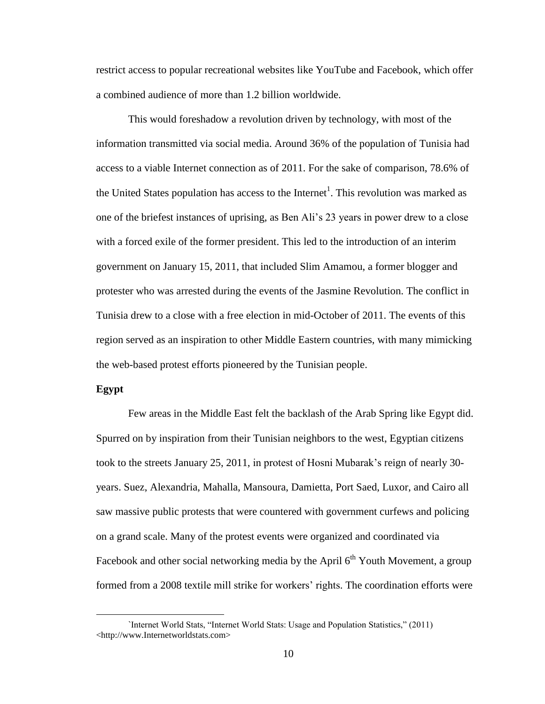restrict access to popular recreational websites like YouTube and Facebook, which offer a combined audience of more than 1.2 billion worldwide.

This would foreshadow a revolution driven by technology, with most of the information transmitted via social media. Around 36% of the population of Tunisia had access to a viable Internet connection as of 2011. For the sake of comparison, 78.6% of the United States population has access to the Internet<sup>1</sup>. This revolution was marked as one of the briefest instances of uprising, as Ben Ali's 23 years in power drew to a close with a forced exile of the former president. This led to the introduction of an interim government on January 15, 2011, that included Slim Amamou, a former blogger and protester who was arrested during the events of the Jasmine Revolution. The conflict in Tunisia drew to a close with a free election in mid-October of 2011. The events of this region served as an inspiration to other Middle Eastern countries, with many mimicking the web-based protest efforts pioneered by the Tunisian people.

#### **Egypt**

 $\overline{a}$ 

Few areas in the Middle East felt the backlash of the Arab Spring like Egypt did. Spurred on by inspiration from their Tunisian neighbors to the west, Egyptian citizens took to the streets January 25, 2011, in protest of Hosni Mubarak's reign of nearly 30 years. Suez, Alexandria, Mahalla, Mansoura, Damietta, Port Saed, Luxor, and Cairo all saw massive public protests that were countered with government curfews and policing on a grand scale. Many of the protest events were organized and coordinated via Facebook and other social networking media by the April  $6<sup>th</sup>$  Youth Movement, a group formed from a 2008 textile mill strike for workers' rights. The coordination efforts were

<sup>`</sup>Internet World Stats, "Internet World Stats: Usage and Population Statistics," (2011) <http://www.Internetworldstats.com>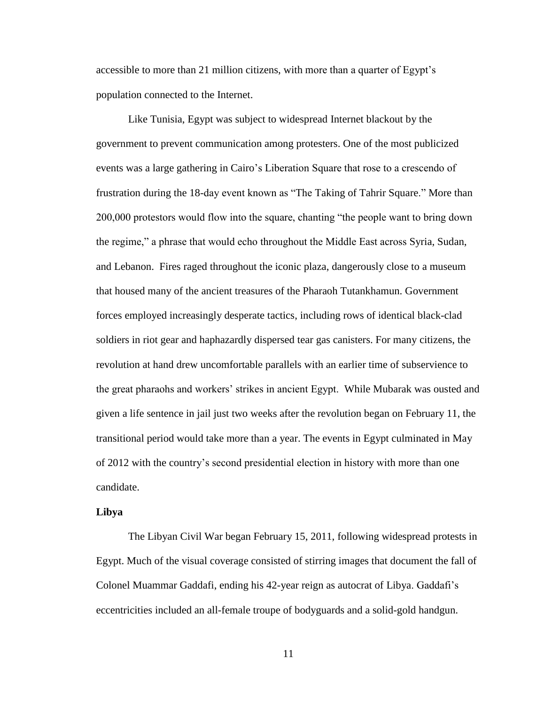accessible to more than 21 million citizens, with more than a quarter of Egypt's population connected to the Internet.

Like Tunisia, Egypt was subject to widespread Internet blackout by the government to prevent communication among protesters. One of the most publicized events was a large gathering in Cairo's Liberation Square that rose to a crescendo of frustration during the 18-day event known as "The Taking of Tahrir Square." More than 200,000 protestors would flow into the square, chanting "the people want to bring down the regime," a phrase that would echo throughout the Middle East across Syria, Sudan, and Lebanon. Fires raged throughout the iconic plaza, dangerously close to a museum that housed many of the ancient treasures of the Pharaoh Tutankhamun. Government forces employed increasingly desperate tactics, including rows of identical black-clad soldiers in riot gear and haphazardly dispersed tear gas canisters. For many citizens, the revolution at hand drew uncomfortable parallels with an earlier time of subservience to the great pharaohs and workers' strikes in ancient Egypt. While Mubarak was ousted and given a life sentence in jail just two weeks after the revolution began on February 11, the transitional period would take more than a year. The events in Egypt culminated in May of 2012 with the country's second presidential election in history with more than one candidate.

#### **Libya**

The Libyan Civil War began February 15, 2011, following widespread protests in Egypt. Much of the visual coverage consisted of stirring images that document the fall of Colonel Muammar Gaddafi, ending his 42-year reign as autocrat of Libya. Gaddafi's eccentricities included an all-female troupe of bodyguards and a solid-gold handgun.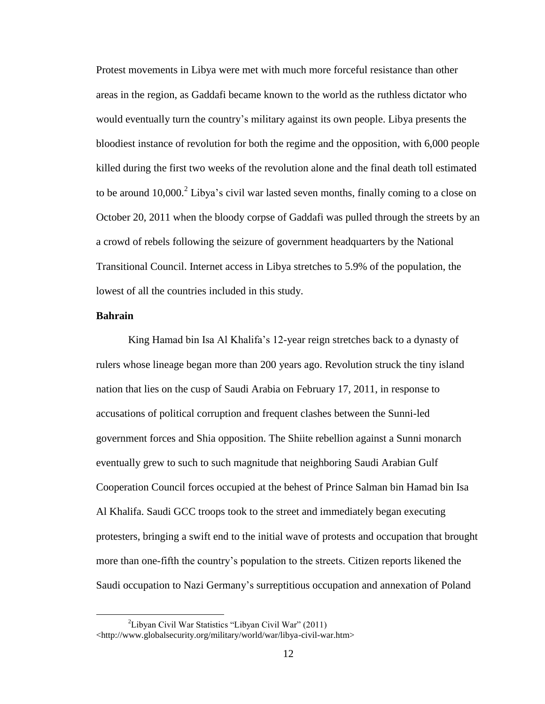Protest movements in Libya were met with much more forceful resistance than other areas in the region, as Gaddafi became known to the world as the ruthless dictator who would eventually turn the country's military against its own people. Libya presents the bloodiest instance of revolution for both the regime and the opposition, with 6,000 people killed during the first two weeks of the revolution alone and the final death toll estimated to be around  $10,000$ .<sup>2</sup> Libya's civil war lasted seven months, finally coming to a close on October 20, 2011 when the bloody corpse of Gaddafi was pulled through the streets by an a crowd of rebels following the seizure of government headquarters by the National Transitional Council. Internet access in Libya stretches to 5.9% of the population, the lowest of all the countries included in this study.

#### **Bahrain**

 $\overline{a}$ 

King Hamad bin Isa Al Khalifa's 12-year reign stretches back to a dynasty of rulers whose lineage began more than 200 years ago. Revolution struck the tiny island nation that lies on the cusp of Saudi Arabia on February 17, 2011, in response to accusations of political corruption and frequent clashes between the Sunni-led government forces and Shia opposition. The Shiite rebellion against a Sunni monarch eventually grew to such to such magnitude that neighboring Saudi Arabian Gulf Cooperation Council forces occupied at the behest of Prince Salman bin Hamad bin Isa Al Khalifa. Saudi GCC troops took to the street and immediately began executing protesters, bringing a swift end to the initial wave of protests and occupation that brought more than one-fifth the country's population to the streets. Citizen reports likened the Saudi occupation to Nazi Germany's surreptitious occupation and annexation of Poland

<sup>&</sup>lt;sup>2</sup>Libyan Civil War Statistics "Libyan Civil War" (2011)

<sup>&</sup>lt;http://www.globalsecurity.org/military/world/war/libya-civil-war.htm>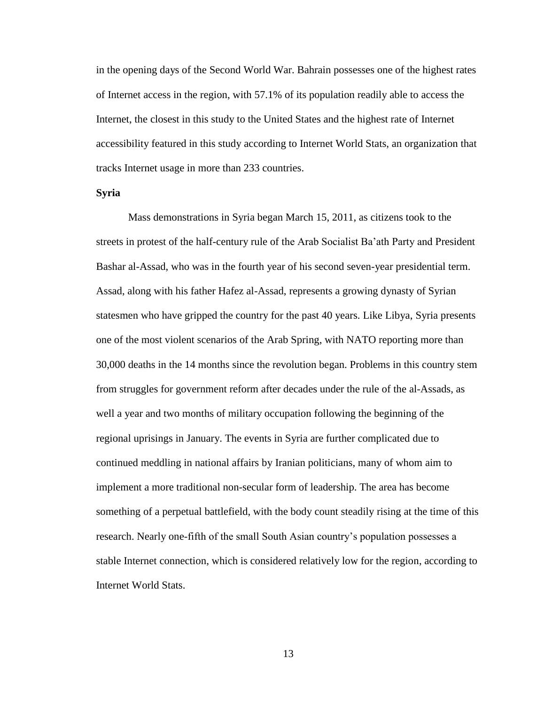in the opening days of the Second World War. Bahrain possesses one of the highest rates of Internet access in the region, with 57.1% of its population readily able to access the Internet, the closest in this study to the United States and the highest rate of Internet accessibility featured in this study according to Internet World Stats, an organization that tracks Internet usage in more than 233 countries.

### **Syria**

Mass demonstrations in Syria began March 15, 2011, as citizens took to the streets in protest of the half-century rule of the Arab Socialist Ba'ath Party and President Bashar al-Assad, who was in the fourth year of his second seven-year presidential term. Assad, along with his father Hafez al-Assad, represents a growing dynasty of Syrian statesmen who have gripped the country for the past 40 years. Like Libya, Syria presents one of the most violent scenarios of the Arab Spring, with NATO reporting more than 30,000 deaths in the 14 months since the revolution began. Problems in this country stem from struggles for government reform after decades under the rule of the al-Assads, as well a year and two months of military occupation following the beginning of the regional uprisings in January. The events in Syria are further complicated due to continued meddling in national affairs by Iranian politicians, many of whom aim to implement a more traditional non-secular form of leadership. The area has become something of a perpetual battlefield, with the body count steadily rising at the time of this research. Nearly one-fifth of the small South Asian country's population possesses a stable Internet connection, which is considered relatively low for the region, according to Internet World Stats.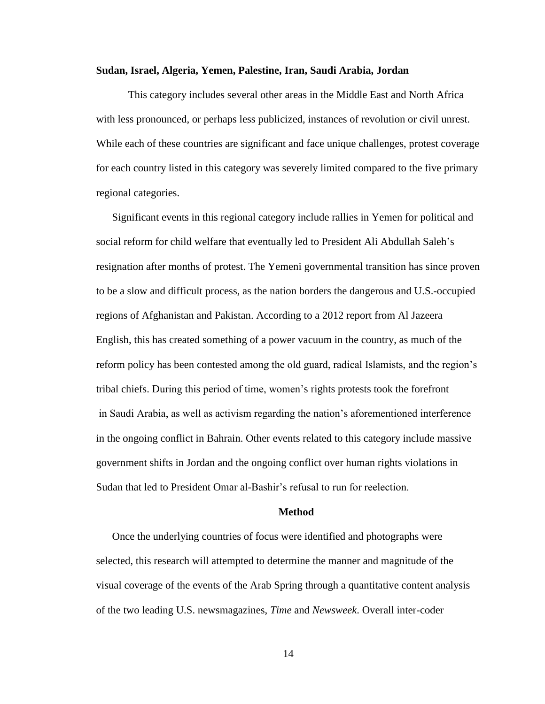#### **Sudan, Israel, Algeria, Yemen, Palestine, Iran, Saudi Arabia, Jordan**

This category includes several other areas in the Middle East and North Africa with less pronounced, or perhaps less publicized, instances of revolution or civil unrest. While each of these countries are significant and face unique challenges, protest coverage for each country listed in this category was severely limited compared to the five primary regional categories.

Significant events in this regional category include rallies in Yemen for political and social reform for child welfare that eventually led to President Ali Abdullah Saleh's resignation after months of protest. The Yemeni governmental transition has since proven to be a slow and difficult process, as the nation borders the dangerous and U.S.-occupied regions of Afghanistan and Pakistan. According to a 2012 report from Al Jazeera English, this has created something of a power vacuum in the country, as much of the reform policy has been contested among the old guard, radical Islamists, and the region's tribal chiefs. During this period of time, women's rights protests took the forefront in Saudi Arabia, as well as activism regarding the nation's aforementioned interference in the ongoing conflict in Bahrain. Other events related to this category include massive government shifts in Jordan and the ongoing conflict over human rights violations in Sudan that led to President Omar al-Bashir's refusal to run for reelection.

#### **Method**

Once the underlying countries of focus were identified and photographs were selected, this research will attempted to determine the manner and magnitude of the visual coverage of the events of the Arab Spring through a quantitative content analysis of the two leading U.S. newsmagazines, *Time* and *Newsweek*. Overall inter-coder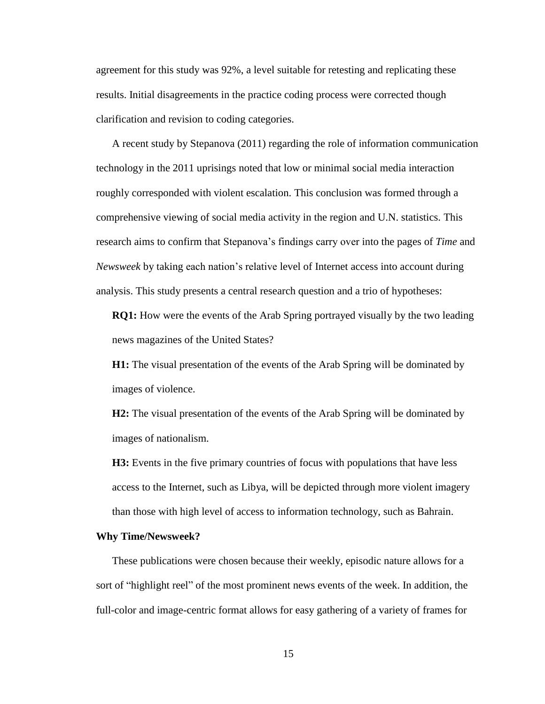agreement for this study was 92%, a level suitable for retesting and replicating these results. Initial disagreements in the practice coding process were corrected though clarification and revision to coding categories.

A recent study by Stepanova (2011) regarding the role of information communication technology in the 2011 uprisings noted that low or minimal social media interaction roughly corresponded with violent escalation. This conclusion was formed through a comprehensive viewing of social media activity in the region and U.N. statistics. This research aims to confirm that Stepanova's findings carry over into the pages of *Time* and *Newsweek* by taking each nation's relative level of Internet access into account during analysis. This study presents a central research question and a trio of hypotheses:

**RQ1:** How were the events of the Arab Spring portrayed visually by the two leading news magazines of the United States?

**H1:** The visual presentation of the events of the Arab Spring will be dominated by images of violence.

**H2:** The visual presentation of the events of the Arab Spring will be dominated by images of nationalism.

**H3:** Events in the five primary countries of focus with populations that have less access to the Internet, such as Libya, will be depicted through more violent imagery than those with high level of access to information technology, such as Bahrain.

#### **Why Time/Newsweek?**

These publications were chosen because their weekly, episodic nature allows for a sort of "highlight reel" of the most prominent news events of the week. In addition, the full-color and image-centric format allows for easy gathering of a variety of frames for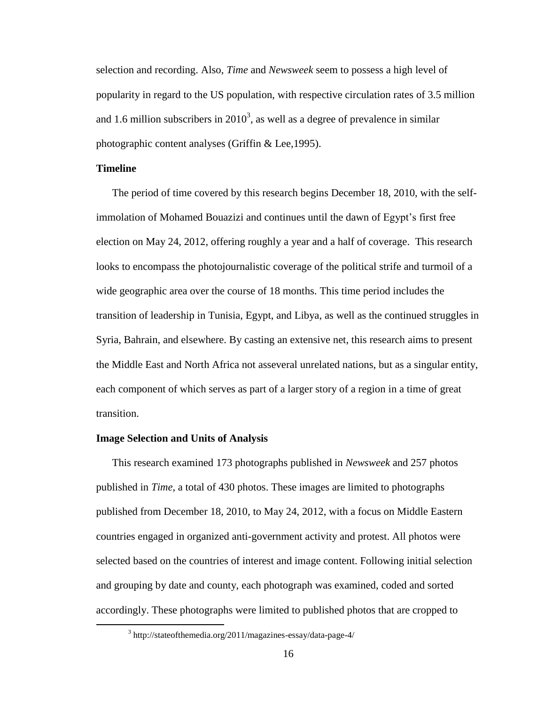selection and recording. Also, *Time* and *Newsweek* seem to possess a high level of popularity in regard to the US population, with respective circulation rates of 3.5 million and 1.6 million subscribers in  $2010<sup>3</sup>$ , as well as a degree of prevalence in similar photographic content analyses (Griffin & Lee,1995).

## **Timeline**

 $\overline{a}$ 

The period of time covered by this research begins December 18, 2010, with the selfimmolation of Mohamed Bouazizi and continues until the dawn of Egypt's first free election on May 24, 2012, offering roughly a year and a half of coverage. This research looks to encompass the photojournalistic coverage of the political strife and turmoil of a wide geographic area over the course of 18 months. This time period includes the transition of leadership in Tunisia, Egypt, and Libya, as well as the continued struggles in Syria, Bahrain, and elsewhere. By casting an extensive net, this research aims to present the Middle East and North Africa not asseveral unrelated nations, but as a singular entity, each component of which serves as part of a larger story of a region in a time of great transition.

## **Image Selection and Units of Analysis**

This research examined 173 photographs published in *Newsweek* and 257 photos published in *Time*, a total of 430 photos. These images are limited to photographs published from December 18, 2010, to May 24, 2012, with a focus on Middle Eastern countries engaged in organized anti-government activity and protest. All photos were selected based on the countries of interest and image content. Following initial selection and grouping by date and county, each photograph was examined, coded and sorted accordingly. These photographs were limited to published photos that are cropped to

<sup>&</sup>lt;sup>3</sup> http://stateofthemedia.org/2011/magazines-essay/data-page-4/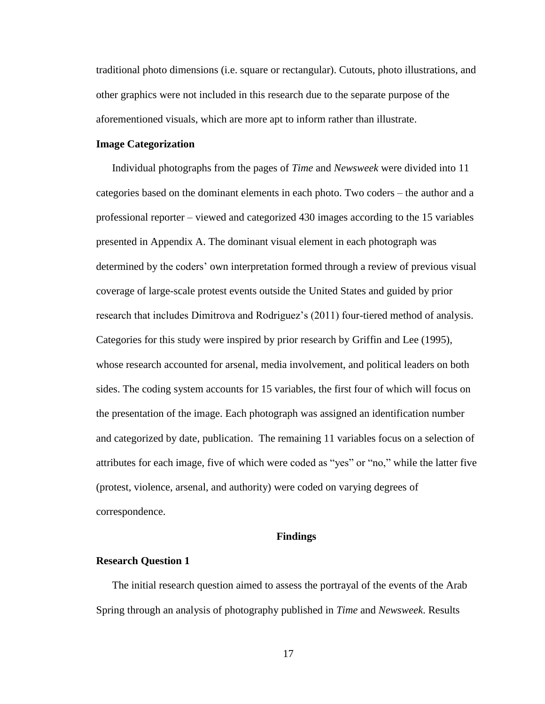traditional photo dimensions (i.e. square or rectangular). Cutouts, photo illustrations, and other graphics were not included in this research due to the separate purpose of the aforementioned visuals, which are more apt to inform rather than illustrate.

## **Image Categorization**

Individual photographs from the pages of *Time* and *Newsweek* were divided into 11 categories based on the dominant elements in each photo. Two coders – the author and a professional reporter – viewed and categorized 430 images according to the 15 variables presented in Appendix A. The dominant visual element in each photograph was determined by the coders' own interpretation formed through a review of previous visual coverage of large-scale protest events outside the United States and guided by prior research that includes Dimitrova and Rodriguez's (2011) four-tiered method of analysis. Categories for this study were inspired by prior research by Griffin and Lee (1995), whose research accounted for arsenal, media involvement, and political leaders on both sides. The coding system accounts for 15 variables, the first four of which will focus on the presentation of the image. Each photograph was assigned an identification number and categorized by date, publication. The remaining 11 variables focus on a selection of attributes for each image, five of which were coded as "yes" or "no," while the latter five (protest, violence, arsenal, and authority) were coded on varying degrees of correspondence.

#### **Findings**

#### **Research Question 1**

The initial research question aimed to assess the portrayal of the events of the Arab Spring through an analysis of photography published in *Time* and *Newsweek*. Results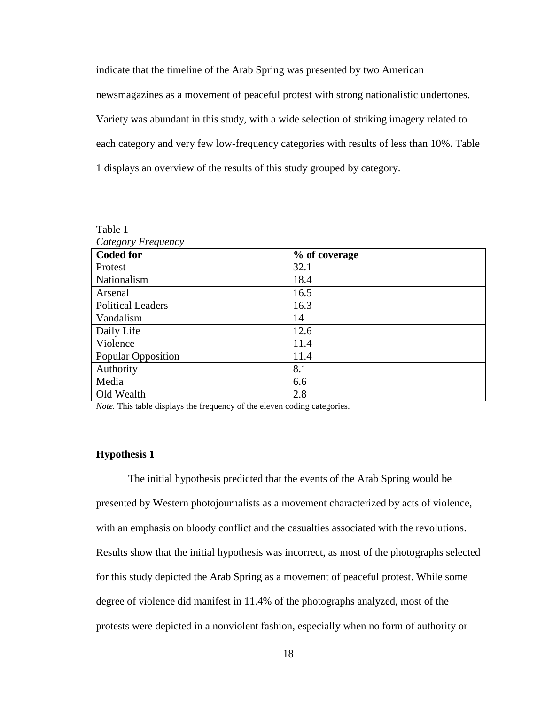indicate that the timeline of the Arab Spring was presented by two American newsmagazines as a movement of peaceful protest with strong nationalistic undertones. Variety was abundant in this study, with a wide selection of striking imagery related to each category and very few low-frequency categories with results of less than 10%. Table 1 displays an overview of the results of this study grouped by category.

| Table 1                  |               |  |  |  |
|--------------------------|---------------|--|--|--|
| Category Frequency       |               |  |  |  |
| <b>Coded for</b>         | % of coverage |  |  |  |
| Protest                  | 32.1          |  |  |  |
| Nationalism              | 18.4          |  |  |  |
| Arsenal                  | 16.5          |  |  |  |
| <b>Political Leaders</b> | 16.3          |  |  |  |
| Vandalism                | 14            |  |  |  |
| Daily Life               | 12.6          |  |  |  |
| Violence                 | 11.4          |  |  |  |
| Popular Opposition       | 11.4          |  |  |  |
| Authority                | 8.1           |  |  |  |
| Media                    | 6.6           |  |  |  |
| Old Wealth               | 2.8           |  |  |  |

*Note.* This table displays the frequency of the eleven coding categories.

# **Hypothesis 1**

The initial hypothesis predicted that the events of the Arab Spring would be presented by Western photojournalists as a movement characterized by acts of violence, with an emphasis on bloody conflict and the casualties associated with the revolutions. Results show that the initial hypothesis was incorrect, as most of the photographs selected for this study depicted the Arab Spring as a movement of peaceful protest. While some degree of violence did manifest in 11.4% of the photographs analyzed, most of the protests were depicted in a nonviolent fashion, especially when no form of authority or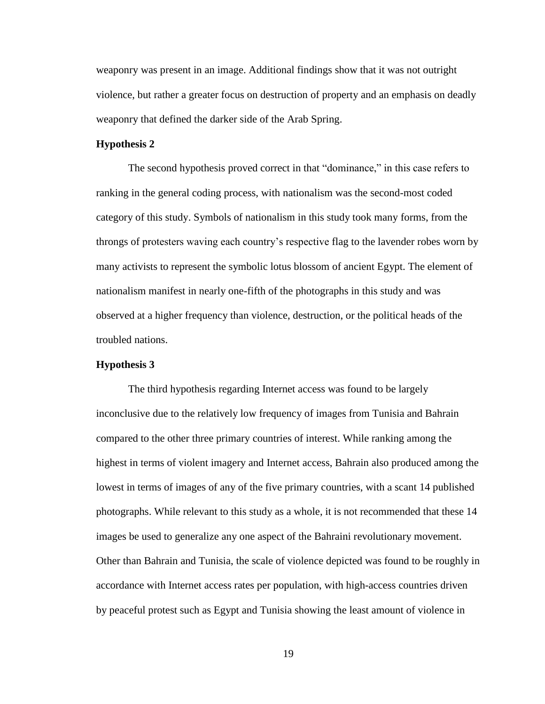weaponry was present in an image. Additional findings show that it was not outright violence, but rather a greater focus on destruction of property and an emphasis on deadly weaponry that defined the darker side of the Arab Spring.

## **Hypothesis 2**

The second hypothesis proved correct in that "dominance," in this case refers to ranking in the general coding process, with nationalism was the second-most coded category of this study. Symbols of nationalism in this study took many forms, from the throngs of protesters waving each country's respective flag to the lavender robes worn by many activists to represent the symbolic lotus blossom of ancient Egypt. The element of nationalism manifest in nearly one-fifth of the photographs in this study and was observed at a higher frequency than violence, destruction, or the political heads of the troubled nations.

#### **Hypothesis 3**

The third hypothesis regarding Internet access was found to be largely inconclusive due to the relatively low frequency of images from Tunisia and Bahrain compared to the other three primary countries of interest. While ranking among the highest in terms of violent imagery and Internet access, Bahrain also produced among the lowest in terms of images of any of the five primary countries, with a scant 14 published photographs. While relevant to this study as a whole, it is not recommended that these 14 images be used to generalize any one aspect of the Bahraini revolutionary movement. Other than Bahrain and Tunisia, the scale of violence depicted was found to be roughly in accordance with Internet access rates per population, with high-access countries driven by peaceful protest such as Egypt and Tunisia showing the least amount of violence in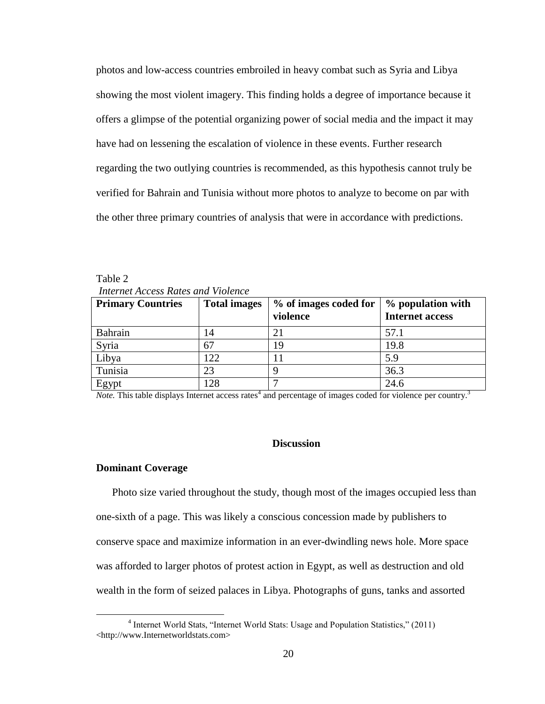photos and low-access countries embroiled in heavy combat such as Syria and Libya showing the most violent imagery. This finding holds a degree of importance because it offers a glimpse of the potential organizing power of social media and the impact it may have had on lessening the escalation of violence in these events. Further research regarding the two outlying countries is recommended, as this hypothesis cannot truly be verified for Bahrain and Tunisia without more photos to analyze to become on par with the other three primary countries of analysis that were in accordance with predictions.

| <b>Primary Countries</b> | <b>Total images</b> | % of images coded for<br>violence | % population with<br><b>Internet access</b> |
|--------------------------|---------------------|-----------------------------------|---------------------------------------------|
| <b>Bahrain</b>           | 14                  |                                   | 57.1                                        |
| Syria                    | 67                  | 19                                | 19.8                                        |
| Libya                    | 122                 |                                   | 5.9                                         |
| Tunisia                  | 23                  |                                   | 36.3                                        |
| Egypt                    | 128                 |                                   | 24.6                                        |

Table 2 *Internet Access Rates and Violence*

*Note*. This table displays Internet access rates<sup>4</sup> and percentage of images coded for violence per country.<sup>3</sup>

#### **Discussion**

#### **Dominant Coverage**

 $\overline{a}$ 

Photo size varied throughout the study, though most of the images occupied less than one-sixth of a page. This was likely a conscious concession made by publishers to conserve space and maximize information in an ever-dwindling news hole. More space was afforded to larger photos of protest action in Egypt, as well as destruction and old wealth in the form of seized palaces in Libya. Photographs of guns, tanks and assorted

<sup>4</sup> Internet World Stats, "Internet World Stats: Usage and Population Statistics," (2011) <http://www.Internetworldstats.com>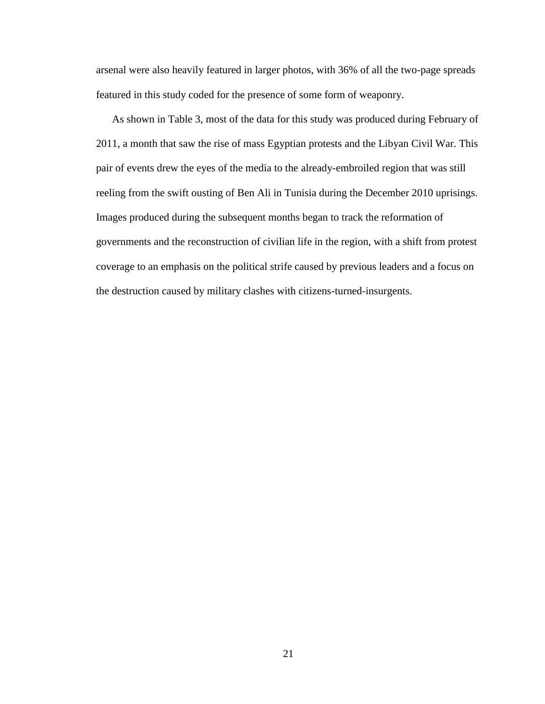arsenal were also heavily featured in larger photos, with 36% of all the two-page spreads featured in this study coded for the presence of some form of weaponry.

As shown in Table 3, most of the data for this study was produced during February of 2011, a month that saw the rise of mass Egyptian protests and the Libyan Civil War. This pair of events drew the eyes of the media to the already-embroiled region that was still reeling from the swift ousting of Ben Ali in Tunisia during the December 2010 uprisings. Images produced during the subsequent months began to track the reformation of governments and the reconstruction of civilian life in the region, with a shift from protest coverage to an emphasis on the political strife caused by previous leaders and a focus on the destruction caused by military clashes with citizens-turned-insurgents.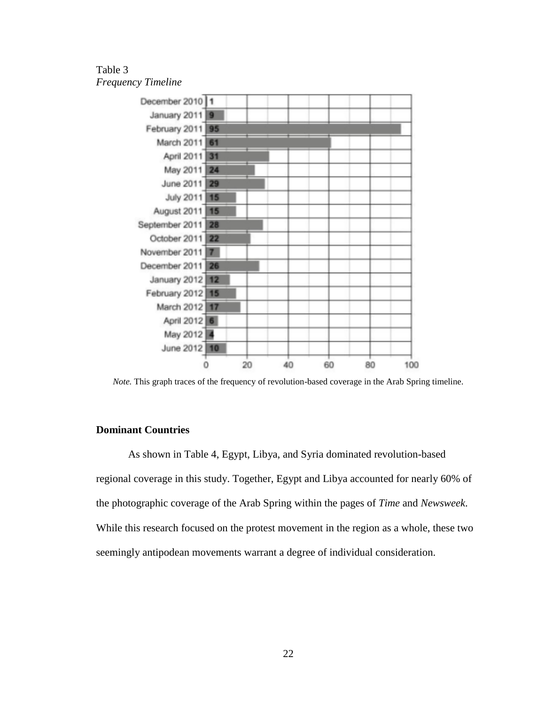# Table 3 *Frequency Timeline*



*Note.* This graph traces of the frequency of revolution-based coverage in the Arab Spring timeline.

## **Dominant Countries**

As shown in Table 4, Egypt, Libya, and Syria dominated revolution-based regional coverage in this study. Together, Egypt and Libya accounted for nearly 60% of the photographic coverage of the Arab Spring within the pages of *Time* and *Newsweek*. While this research focused on the protest movement in the region as a whole, these two seemingly antipodean movements warrant a degree of individual consideration.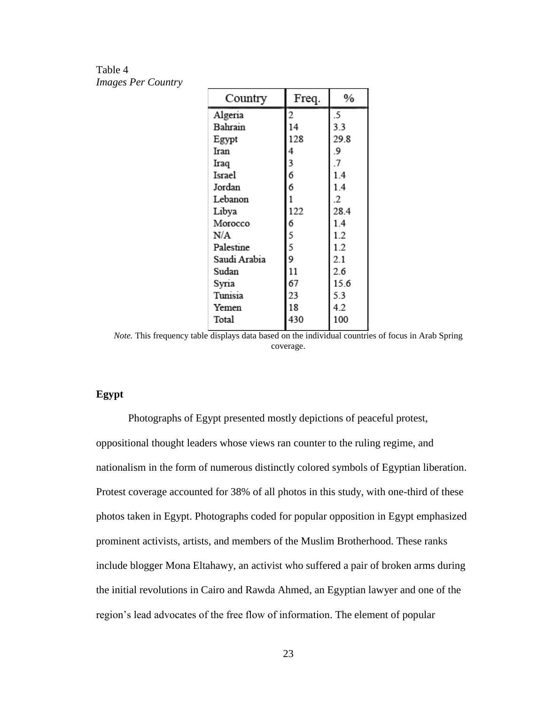Table 4 *Images Per Country*

| 29.8 |
|------|
|      |
|      |
|      |
|      |
|      |
| 28.4 |
|      |
|      |
|      |
|      |
|      |
| 15.6 |
|      |
|      |
|      |
|      |

*Note*. This frequency table displays data based on the individual countries of focus in Arab Spring coverage.

## **Egypt**

Photographs of Egypt presented mostly depictions of peaceful protest, oppositional thought leaders whose views ran counter to the ruling regime, and nationalism in the form of numerous distinctly colored symbols of Egyptian liberation. Protest coverage accounted for 38% of all photos in this study, with one-third of these photos taken in Egypt. Photographs coded for popular opposition in Egypt emphasized prominent activists, artists, and members of the Muslim Brotherhood. These ranks include blogger Mona Eltahawy, an activist who suffered a pair of broken arms during the initial revolutions in Cairo and Rawda Ahmed, an Egyptian lawyer and one of the region's lead advocates of the free flow of information. The element of popular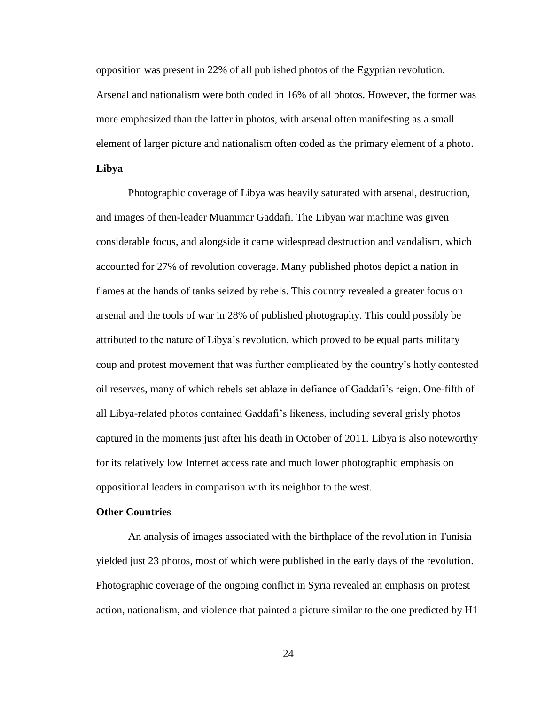opposition was present in 22% of all published photos of the Egyptian revolution. Arsenal and nationalism were both coded in 16% of all photos. However, the former was more emphasized than the latter in photos, with arsenal often manifesting as a small element of larger picture and nationalism often coded as the primary element of a photo.

## **Libya**

Photographic coverage of Libya was heavily saturated with arsenal, destruction, and images of then-leader Muammar Gaddafi. The Libyan war machine was given considerable focus, and alongside it came widespread destruction and vandalism, which accounted for 27% of revolution coverage. Many published photos depict a nation in flames at the hands of tanks seized by rebels. This country revealed a greater focus on arsenal and the tools of war in 28% of published photography. This could possibly be attributed to the nature of Libya's revolution, which proved to be equal parts military coup and protest movement that was further complicated by the country's hotly contested oil reserves, many of which rebels set ablaze in defiance of Gaddafi's reign. One-fifth of all Libya-related photos contained Gaddafi's likeness, including several grisly photos captured in the moments just after his death in October of 2011. Libya is also noteworthy for its relatively low Internet access rate and much lower photographic emphasis on oppositional leaders in comparison with its neighbor to the west.

### **Other Countries**

An analysis of images associated with the birthplace of the revolution in Tunisia yielded just 23 photos, most of which were published in the early days of the revolution. Photographic coverage of the ongoing conflict in Syria revealed an emphasis on protest action, nationalism, and violence that painted a picture similar to the one predicted by H1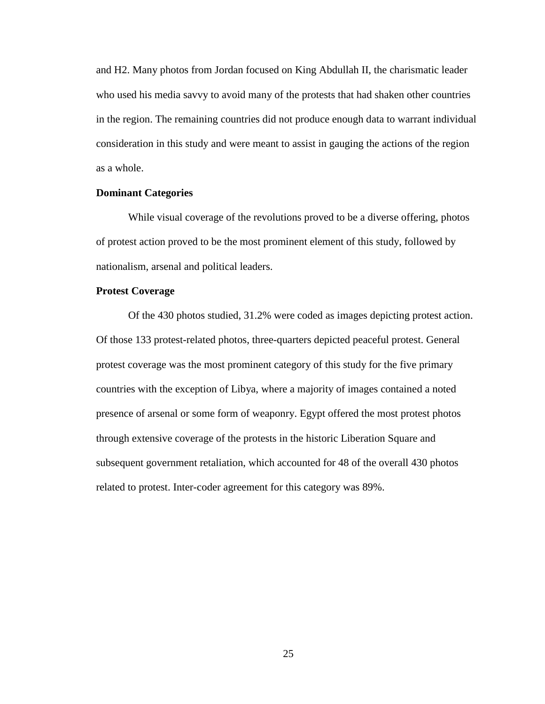and H2. Many photos from Jordan focused on King Abdullah II, the charismatic leader who used his media savvy to avoid many of the protests that had shaken other countries in the region. The remaining countries did not produce enough data to warrant individual consideration in this study and were meant to assist in gauging the actions of the region as a whole.

## **Dominant Categories**

While visual coverage of the revolutions proved to be a diverse offering, photos of protest action proved to be the most prominent element of this study, followed by nationalism, arsenal and political leaders.

## **Protest Coverage**

Of the 430 photos studied, 31.2% were coded as images depicting protest action. Of those 133 protest-related photos, three-quarters depicted peaceful protest. General protest coverage was the most prominent category of this study for the five primary countries with the exception of Libya, where a majority of images contained a noted presence of arsenal or some form of weaponry. Egypt offered the most protest photos through extensive coverage of the protests in the historic Liberation Square and subsequent government retaliation, which accounted for 48 of the overall 430 photos related to protest. Inter-coder agreement for this category was 89%.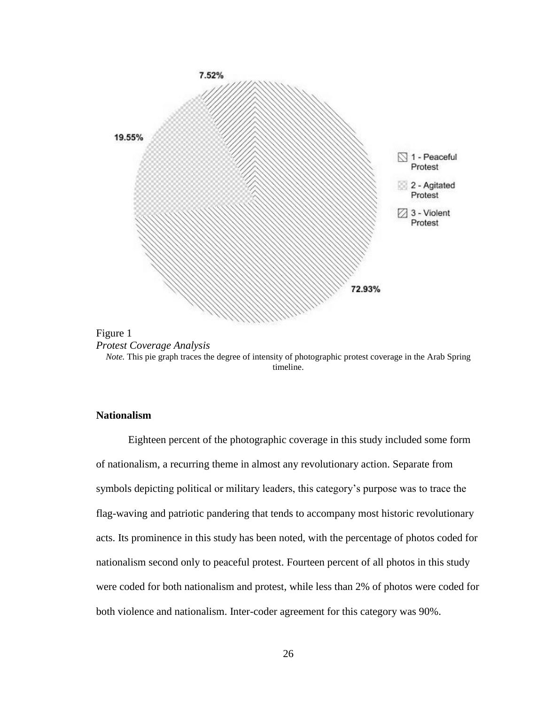



*Note.* This pie graph traces the degree of intensity of photographic protest coverage in the Arab Spring timeline.

## **Nationalism**

Eighteen percent of the photographic coverage in this study included some form of nationalism, a recurring theme in almost any revolutionary action. Separate from symbols depicting political or military leaders, this category's purpose was to trace the flag-waving and patriotic pandering that tends to accompany most historic revolutionary acts. Its prominence in this study has been noted, with the percentage of photos coded for nationalism second only to peaceful protest. Fourteen percent of all photos in this study were coded for both nationalism and protest, while less than 2% of photos were coded for both violence and nationalism. Inter-coder agreement for this category was 90%.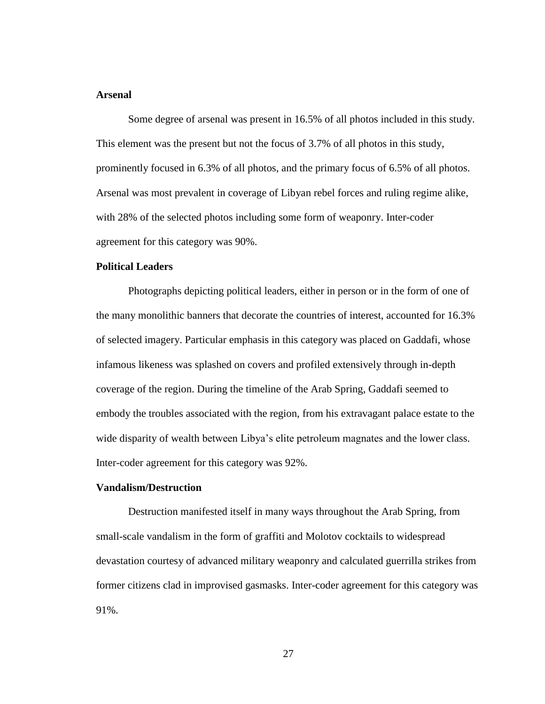## **Arsenal**

Some degree of arsenal was present in 16.5% of all photos included in this study. This element was the present but not the focus of 3.7% of all photos in this study, prominently focused in 6.3% of all photos, and the primary focus of 6.5% of all photos. Arsenal was most prevalent in coverage of Libyan rebel forces and ruling regime alike, with 28% of the selected photos including some form of weaponry. Inter-coder agreement for this category was 90%.

## **Political Leaders**

Photographs depicting political leaders, either in person or in the form of one of the many monolithic banners that decorate the countries of interest, accounted for 16.3% of selected imagery. Particular emphasis in this category was placed on Gaddafi, whose infamous likeness was splashed on covers and profiled extensively through in-depth coverage of the region. During the timeline of the Arab Spring, Gaddafi seemed to embody the troubles associated with the region, from his extravagant palace estate to the wide disparity of wealth between Libya's elite petroleum magnates and the lower class. Inter-coder agreement for this category was 92%.

#### **Vandalism/Destruction**

Destruction manifested itself in many ways throughout the Arab Spring, from small-scale vandalism in the form of graffiti and Molotov cocktails to widespread devastation courtesy of advanced military weaponry and calculated guerrilla strikes from former citizens clad in improvised gasmasks. Inter-coder agreement for this category was 91%.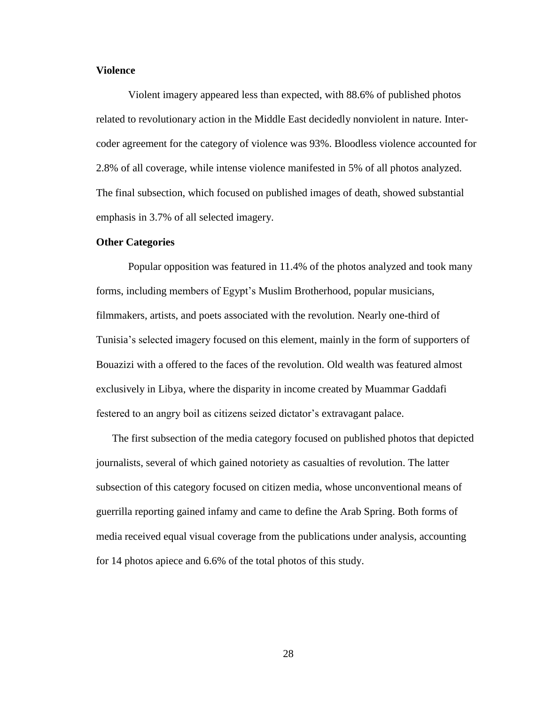## **Violence**

Violent imagery appeared less than expected, with 88.6% of published photos related to revolutionary action in the Middle East decidedly nonviolent in nature. Intercoder agreement for the category of violence was 93%. Bloodless violence accounted for 2.8% of all coverage, while intense violence manifested in 5% of all photos analyzed. The final subsection, which focused on published images of death, showed substantial emphasis in 3.7% of all selected imagery.

#### **Other Categories**

Popular opposition was featured in 11.4% of the photos analyzed and took many forms, including members of Egypt's Muslim Brotherhood, popular musicians, filmmakers, artists, and poets associated with the revolution. Nearly one-third of Tunisia's selected imagery focused on this element, mainly in the form of supporters of Bouazizi with a offered to the faces of the revolution. Old wealth was featured almost exclusively in Libya, where the disparity in income created by Muammar Gaddafi festered to an angry boil as citizens seized dictator's extravagant palace.

The first subsection of the media category focused on published photos that depicted journalists, several of which gained notoriety as casualties of revolution. The latter subsection of this category focused on citizen media, whose unconventional means of guerrilla reporting gained infamy and came to define the Arab Spring. Both forms of media received equal visual coverage from the publications under analysis, accounting for 14 photos apiece and 6.6% of the total photos of this study.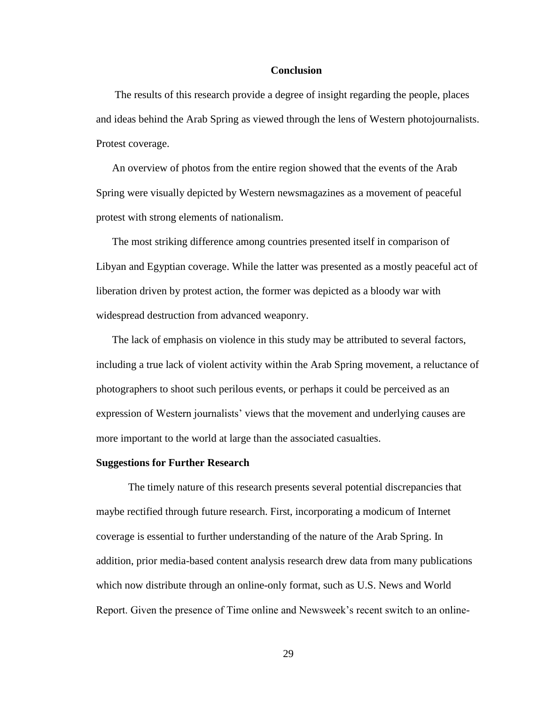#### **Conclusion**

The results of this research provide a degree of insight regarding the people, places and ideas behind the Arab Spring as viewed through the lens of Western photojournalists. Protest coverage.

An overview of photos from the entire region showed that the events of the Arab Spring were visually depicted by Western newsmagazines as a movement of peaceful protest with strong elements of nationalism.

The most striking difference among countries presented itself in comparison of Libyan and Egyptian coverage. While the latter was presented as a mostly peaceful act of liberation driven by protest action, the former was depicted as a bloody war with widespread destruction from advanced weaponry.

The lack of emphasis on violence in this study may be attributed to several factors, including a true lack of violent activity within the Arab Spring movement, a reluctance of photographers to shoot such perilous events, or perhaps it could be perceived as an expression of Western journalists' views that the movement and underlying causes are more important to the world at large than the associated casualties.

#### **Suggestions for Further Research**

The timely nature of this research presents several potential discrepancies that maybe rectified through future research. First, incorporating a modicum of Internet coverage is essential to further understanding of the nature of the Arab Spring. In addition, prior media-based content analysis research drew data from many publications which now distribute through an online-only format, such as U.S. News and World Report. Given the presence of Time online and Newsweek's recent switch to an online-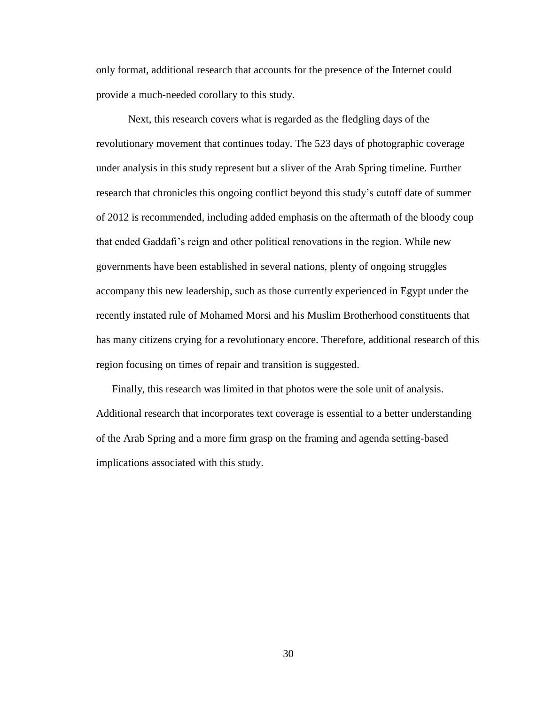only format, additional research that accounts for the presence of the Internet could provide a much-needed corollary to this study.

Next, this research covers what is regarded as the fledgling days of the revolutionary movement that continues today. The 523 days of photographic coverage under analysis in this study represent but a sliver of the Arab Spring timeline. Further research that chronicles this ongoing conflict beyond this study's cutoff date of summer of 2012 is recommended, including added emphasis on the aftermath of the bloody coup that ended Gaddafi's reign and other political renovations in the region. While new governments have been established in several nations, plenty of ongoing struggles accompany this new leadership, such as those currently experienced in Egypt under the recently instated rule of Mohamed Morsi and his Muslim Brotherhood constituents that has many citizens crying for a revolutionary encore. Therefore, additional research of this region focusing on times of repair and transition is suggested.

Finally, this research was limited in that photos were the sole unit of analysis. Additional research that incorporates text coverage is essential to a better understanding of the Arab Spring and a more firm grasp on the framing and agenda setting-based implications associated with this study.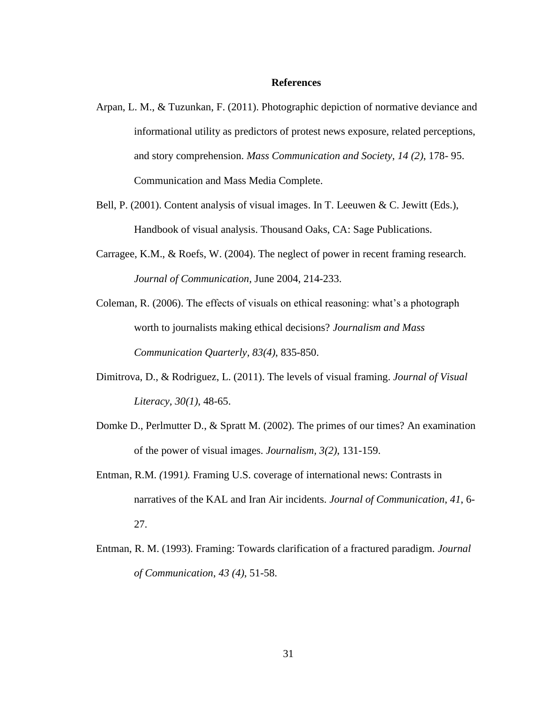#### **References**

- Arpan, L. M., & Tuzunkan, F. (2011). Photographic depiction of normative deviance and informational utility as predictors of protest news exposure, related perceptions, and story comprehension. *Mass Communication and Society*, *14 (2)*, 178- 95. Communication and Mass Media Complete.
- Bell, P. (2001). Content analysis of visual images. In T. Leeuwen & C. Jewitt (Eds.), Handbook of visual analysis. Thousand Oaks, CA: Sage Publications.
- Carragee, K.M., & Roefs, W. (2004). The neglect of power in recent framing research. *Journal of Communication,* June 2004, 214-233.
- Coleman, R. (2006). The effects of visuals on ethical reasoning: what's a photograph worth to journalists making ethical decisions? *Journalism and Mass Communication Quarterly, 83(4)*, 835-850.
- Dimitrova, D., & Rodriguez, L. (2011). The levels of visual framing. *Journal of Visual Literacy, 30(1)*, 48-65.
- Domke D., Perlmutter D., & Spratt M. (2002). The primes of our times? An examination of the power of visual images. *Journalism, 3(2)*, 131-159.
- Entman*,* R.M. *(*1991*).* Framing U.S. coverage of international news: Contrasts in narratives of the KAL and Iran Air incidents. *Journal of Communication*, *41*, 6- 27.
- Entman, R. M. (1993). Framing: Towards clarification of a fractured paradigm. *Journal of Communication*, *43 (4)*, 51-58.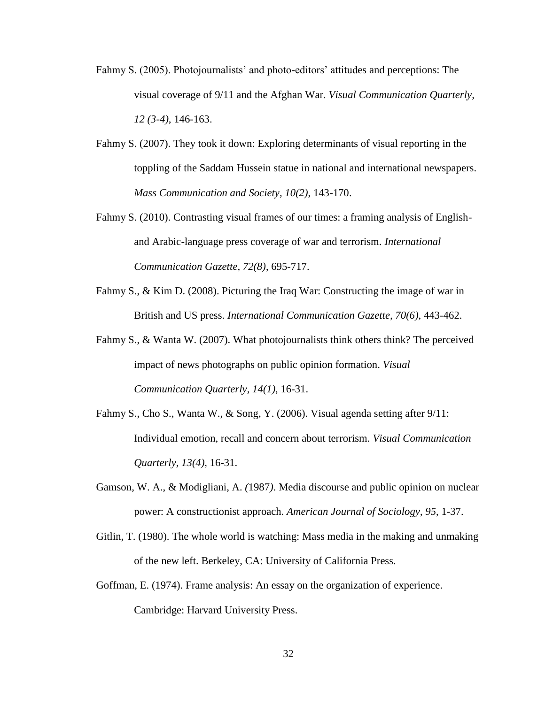- Fahmy S. (2005). Photojournalists' and photo-editors' attitudes and perceptions: The visual coverage of 9/11 and the Afghan War. *Visual Communication Quarterly, 12 (3-4)*, 146-163.
- Fahmy S. (2007). They took it down: Exploring determinants of visual reporting in the toppling of the Saddam Hussein statue in national and international newspapers. *Mass Communication and Society, 10(2)*, 143-170.
- Fahmy S. (2010). Contrasting visual frames of our times: a framing analysis of Englishand Arabic-language press coverage of war and terrorism. *International Communication Gazette, 72(8)*, 695-717.
- Fahmy S., & Kim D. (2008). Picturing the Iraq War: Constructing the image of war in British and US press. *International Communication Gazette, 70(6)*, 443-462.
- Fahmy S., & Wanta W. (2007). What photojournalists think others think? The perceived impact of news photographs on public opinion formation. *Visual Communication Quarterly, 14(1)*, 16-31.
- Fahmy S., Cho S., Wanta W., & Song, Y. (2006). Visual agenda setting after 9/11: Individual emotion, recall and concern about terrorism. *Visual Communication Quarterly, 13(4)*, 16-31.
- Gamson*,* W. A., & Modigliani, A. *(*1987*)*. Media discourse and public opinion on nuclear power: A constructionist approach. *American Journal of Sociology*, *95*, 1-37.
- Gitlin, T. (1980). The whole world is watching: Mass media in the making and unmaking of the new left. Berkeley, CA: University of California Press.
- Goffman, E. (1974). Frame analysis: An essay on the organization of experience. Cambridge: Harvard University Press.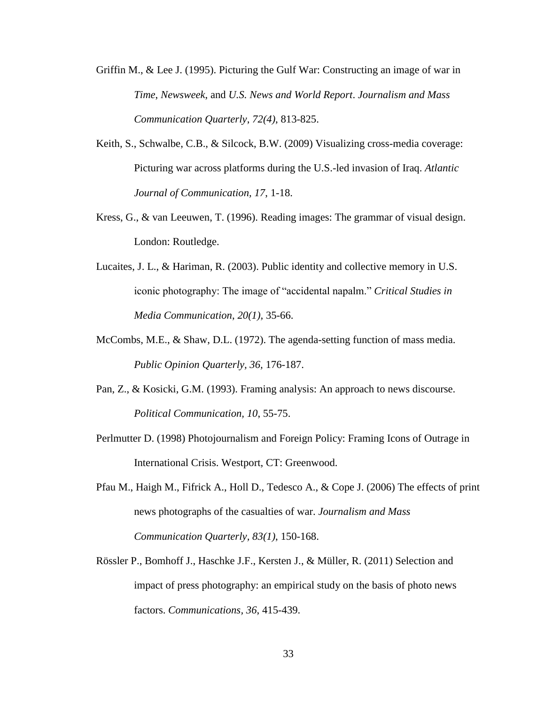- Griffin M., & Lee J. (1995). Picturing the Gulf War: Constructing an image of war in *Time*, *Newsweek*, and *U.S. News and World Report*. *Journalism and Mass Communication Quarterly*, *72(4)*, 813-825.
- Keith, S., Schwalbe, C.B., & Silcock, B.W. (2009) Visualizing cross-media coverage: Picturing war across platforms during the U.S.-led invasion of Iraq. *Atlantic Journal of Communication, 17*, 1-18.
- Kress, G., & van Leeuwen, T. (1996). Reading images: The grammar of visual design. London: Routledge.
- Lucaites, J. L., & Hariman, R. (2003). Public identity and collective memory in U.S. iconic photography: The image of "accidental napalm." *Critical Studies in Media Communication*, *20(1),* 35-66.
- McCombs, M.E., & Shaw, D.L. (1972). The agenda-setting function of mass media. *Public Opinion Quarterly, 36,* 176-187.
- Pan, Z., & Kosicki, G.M. (1993). Framing analysis: An approach to news discourse. *Political Communication, 10*, 55-75.
- Perlmutter D. (1998) Photojournalism and Foreign Policy: Framing Icons of Outrage in International Crisis. Westport, CT: Greenwood.
- Pfau M., Haigh M., Fifrick A., Holl D., Tedesco A., & Cope J. (2006) The effects of print news photographs of the casualties of war. *Journalism and Mass Communication Quarterly, 83(1)*, 150-168.
- Rössler P., Bomhoff J., Haschke J.F., Kersten J., & Müller, R. (2011) Selection and impact of press photography: an empirical study on the basis of photo news factors. *Communications, 36*, 415-439.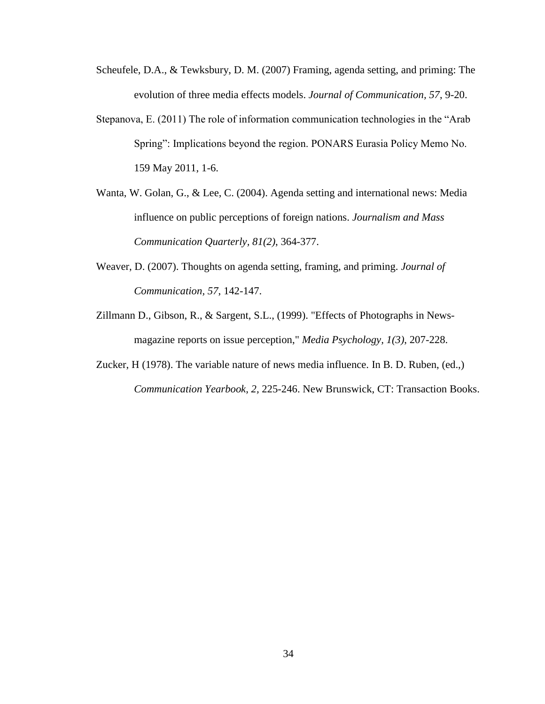- Scheufele, D.A., & Tewksbury, D. M. (2007) Framing, agenda setting, and priming: The evolution of three media effects models. *Journal of Communication, 57*, 9-20.
- Stepanova, E. (2011) The role of information communication technologies in the "Arab Spring": Implications beyond the region. PONARS Eurasia Policy Memo No. 159 May 2011, 1-6.
- Wanta, W. Golan, G., & Lee, C. (2004). Agenda setting and international news: Media influence on public perceptions of foreign nations. *Journalism and Mass Communication Quarterly, 81(2)*, 364-377.
- Weaver, D. (2007). Thoughts on agenda setting, framing, and priming. *Journal of Communication, 57*, 142-147.
- Zillmann D., Gibson, R., & Sargent, S.L., (1999). "Effects of Photographs in Newsmagazine reports on issue perception," *Media Psychology, 1(3)*, 207-228.
- Zucker, H (1978). The variable nature of news media influence. In B. D. Ruben, (ed.,) *Communication Yearbook*, *2,* 225-246. New Brunswick, CT: Transaction Books.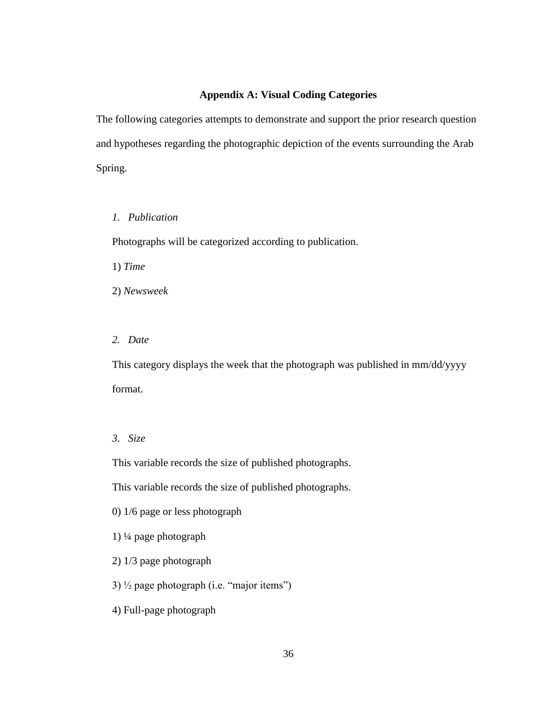## **Appendix A: Visual Coding Categories**

The following categories attempts to demonstrate and support the prior research question and hypotheses regarding the photographic depiction of the events surrounding the Arab Spring.

## *1. Publication*

Photographs will be categorized according to publication.

1) *Time*

2) *Newsweek*

## *2. Date*

This category displays the week that the photograph was published in mm/dd/yyyy format.

## *3. Size*

This variable records the size of published photographs.

This variable records the size of published photographs.

- 0) 1/6 page or less photograph
- 1) ¼ page photograph
- 2) 1/3 page photograph

3)  $\frac{1}{2}$  page photograph (i.e. "major items")

4) Full-page photograph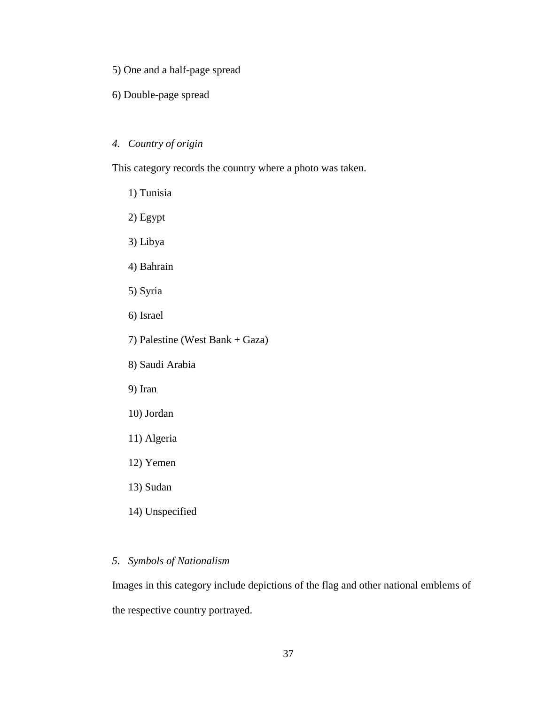5) One and a half-page spread

6) Double-page spread

# *4. Country of origin*

This category records the country where a photo was taken.

- 1) Tunisia 2) Egypt 3) Libya 4) Bahrain 5) Syria 6) Israel 7) Palestine (West Bank + Gaza) 8) Saudi Arabia 9) Iran 10) Jordan 11) Algeria 12) Yemen 13) Sudan
	- 14) Unspecified

## *5. Symbols of Nationalism*

Images in this category include depictions of the flag and other national emblems of the respective country portrayed.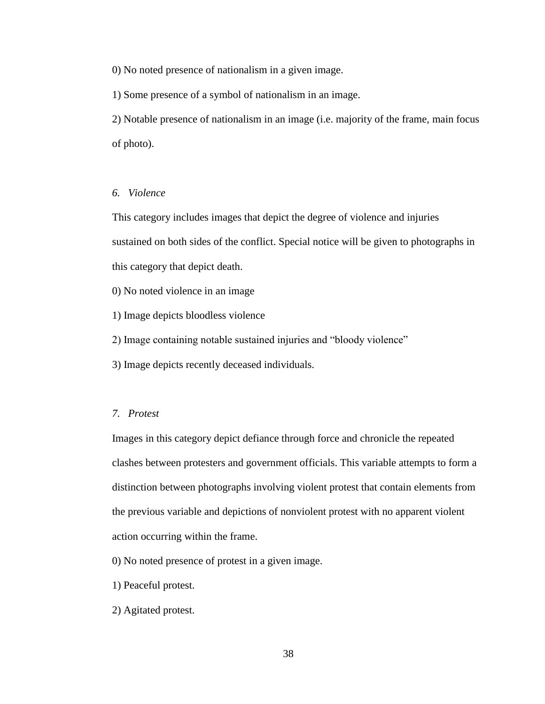0) No noted presence of nationalism in a given image.

1) Some presence of a symbol of nationalism in an image.

2) Notable presence of nationalism in an image (i.e. majority of the frame, main focus of photo).

## *6. Violence*

This category includes images that depict the degree of violence and injuries sustained on both sides of the conflict. Special notice will be given to photographs in this category that depict death.

0) No noted violence in an image

1) Image depicts bloodless violence

2) Image containing notable sustained injuries and "bloody violence"

3) Image depicts recently deceased individuals.

#### *7. Protest*

Images in this category depict defiance through force and chronicle the repeated clashes between protesters and government officials. This variable attempts to form a distinction between photographs involving violent protest that contain elements from the previous variable and depictions of nonviolent protest with no apparent violent action occurring within the frame.

0) No noted presence of protest in a given image.

- 1) Peaceful protest.
- 2) Agitated protest.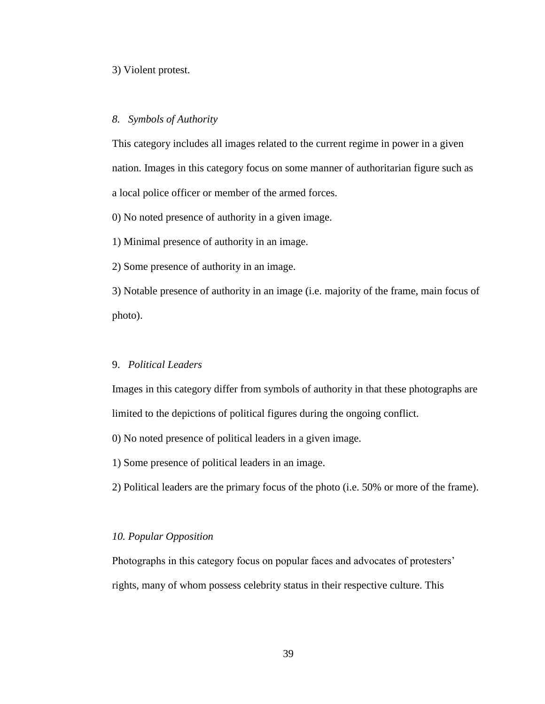## 3) Violent protest.

#### *8. Symbols of Authority*

This category includes all images related to the current regime in power in a given nation. Images in this category focus on some manner of authoritarian figure such as a local police officer or member of the armed forces.

0) No noted presence of authority in a given image.

1) Minimal presence of authority in an image.

2) Some presence of authority in an image.

3) Notable presence of authority in an image (i.e. majority of the frame, main focus of photo).

#### 9. *Political Leaders*

Images in this category differ from symbols of authority in that these photographs are limited to the depictions of political figures during the ongoing conflict.

0) No noted presence of political leaders in a given image.

1) Some presence of political leaders in an image.

2) Political leaders are the primary focus of the photo (i.e. 50% or more of the frame).

## *10. Popular Opposition*

Photographs in this category focus on popular faces and advocates of protesters' rights, many of whom possess celebrity status in their respective culture. This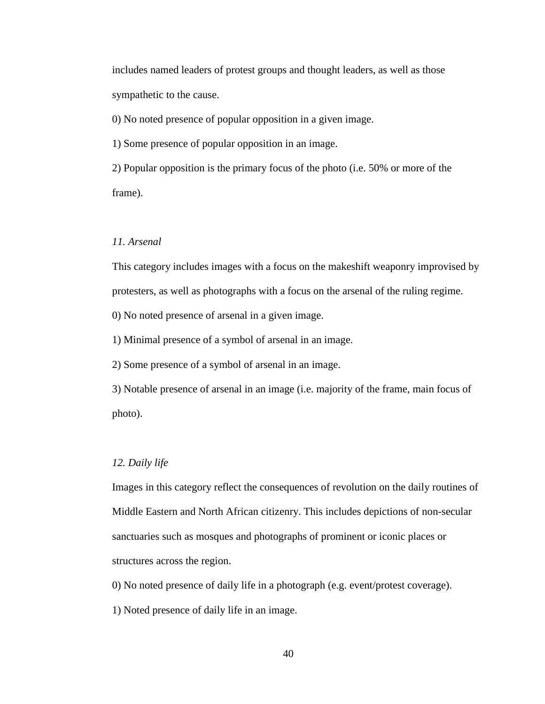includes named leaders of protest groups and thought leaders, as well as those sympathetic to the cause.

0) No noted presence of popular opposition in a given image.

1) Some presence of popular opposition in an image.

2) Popular opposition is the primary focus of the photo (i.e. 50% or more of the frame).

## *11. Arsenal*

This category includes images with a focus on the makeshift weaponry improvised by protesters, as well as photographs with a focus on the arsenal of the ruling regime.

0) No noted presence of arsenal in a given image.

1) Minimal presence of a symbol of arsenal in an image.

2) Some presence of a symbol of arsenal in an image.

3) Notable presence of arsenal in an image (i.e. majority of the frame, main focus of photo).

#### *12. Daily life*

Images in this category reflect the consequences of revolution on the daily routines of Middle Eastern and North African citizenry. This includes depictions of non-secular sanctuaries such as mosques and photographs of prominent or iconic places or structures across the region.

0) No noted presence of daily life in a photograph (e.g. event/protest coverage).

1) Noted presence of daily life in an image.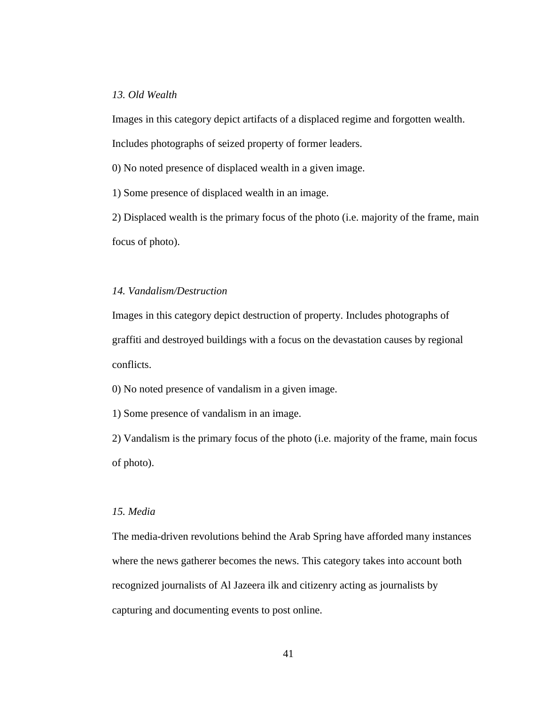## *13. Old Wealth*

Images in this category depict artifacts of a displaced regime and forgotten wealth.

Includes photographs of seized property of former leaders.

0) No noted presence of displaced wealth in a given image.

1) Some presence of displaced wealth in an image.

2) Displaced wealth is the primary focus of the photo (i.e. majority of the frame, main focus of photo).

## *14. Vandalism/Destruction*

Images in this category depict destruction of property. Includes photographs of graffiti and destroyed buildings with a focus on the devastation causes by regional conflicts.

0) No noted presence of vandalism in a given image.

1) Some presence of vandalism in an image.

2) Vandalism is the primary focus of the photo (i.e. majority of the frame, main focus of photo).

## *15. Media*

The media-driven revolutions behind the Arab Spring have afforded many instances where the news gatherer becomes the news. This category takes into account both recognized journalists of Al Jazeera ilk and citizenry acting as journalists by capturing and documenting events to post online.